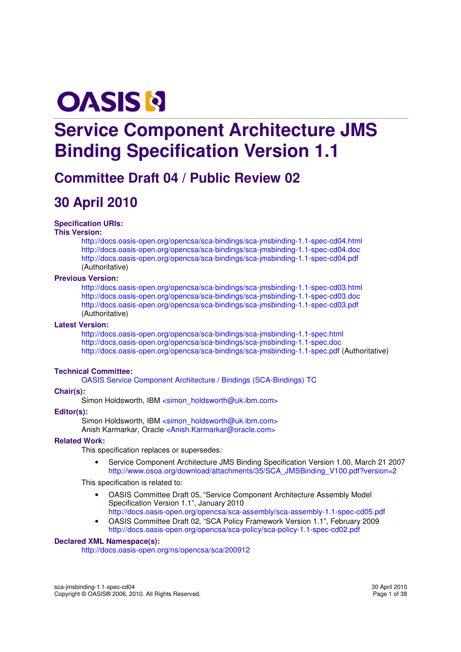# **OASIS N**

# **Service Component Architecture JMS Binding Specification Version 1.1**

# **Committee Draft 04 / Public Review 02**

# **30 April 2010**

#### **Specification URIs:**

#### **This Version:**

http://docs.oasis-open.org/opencsa/sca-bindings/sca-jmsbinding-1.1-spec-cd04.html http://docs.oasis-open.org/opencsa/sca-bindings/sca-jmsbinding-1.1-spec-cd04.doc http://docs.oasis-open.org/opencsa/sca-bindings/sca-jmsbinding-1.1-spec-cd04.pdf (Authoritative)

#### **Previous Version:**

http://docs.oasis-open.org/opencsa/sca-bindings/sca-jmsbinding-1.1-spec-cd03.html http://docs.oasis-open.org/opencsa/sca-bindings/sca-jmsbinding-1.1-spec-cd03.doc http://docs.oasis-open.org/opencsa/sca-bindings/sca-jmsbinding-1.1-spec-cd03.pdf (Authoritative)

#### **Latest Version:**

http://docs.oasis-open.org/opencsa/sca-bindings/sca-jmsbinding-1.1-spec.html http://docs.oasis-open.org/opencsa/sca-bindings/sca-jmsbinding-1.1-spec.doc http://docs.oasis-open.org/opencsa/sca-bindings/sca-jmsbinding-1.1-spec.pdf (Authoritative)

#### **Technical Committee:**

OASIS Service Component Architecture / Bindings (SCA-Bindings) TC

#### **Chair(s):**

Simon Holdsworth, IBM <simon\_holdsworth@uk.ibm.com>

#### **Editor(s):**

Simon Holdsworth, IBM <simon\_holdsworth@uk.ibm.com> Anish Karmarkar, Oracle <Anish.Karmarkar@oracle.com>

#### **Related Work:**

This specification replaces or supersedes:

• Service Component Architecture JMS Binding Specification Version 1.00, March 21 2007 http://www.osoa.org/download/attachments/35/SCA\_JMSBinding\_V100.pdf?version=2

#### This specification is related to:

- OASIS Committee Draft 05, "Service Component Architecture Assembly Model Specification Version 1.1", January 2010 http://docs.oasis-open.org/opencsa/sca-assembly/sca-assembly-1.1-spec-cd05.pdf
- OASIS Committee Draft 02, "SCA Policy Framework Version 1.1", February 2009 http://docs.oasis-open.org/opencsa/sca-policy/sca-policy-1.1-spec-cd02.pdf

#### **Declared XML Namespace(s):**

http://docs.oasis-open.org/ns/opencsa/sca/200912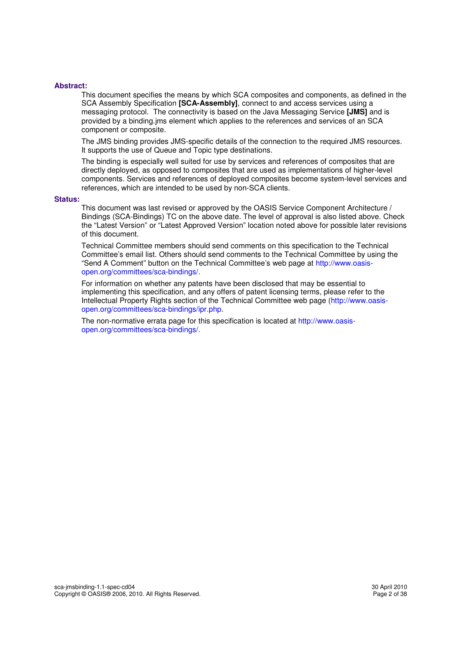#### **Abstract:**

This document specifies the means by which SCA composites and components, as defined in the SCA Assembly Specification **[SCA-Assembly]**, connect to and access services using a messaging protocol. The connectivity is based on the Java Messaging Service **[JMS]** and is provided by a binding.jms element which applies to the references and services of an SCA component or composite.

The JMS binding provides JMS-specific details of the connection to the required JMS resources. It supports the use of Queue and Topic type destinations.

The binding is especially well suited for use by services and references of composites that are directly deployed, as opposed to composites that are used as implementations of higher-level components. Services and references of deployed composites become system-level services and references, which are intended to be used by non-SCA clients.

#### **Status:**

This document was last revised or approved by the OASIS Service Component Architecture / Bindings (SCA-Bindings) TC on the above date. The level of approval is also listed above. Check the "Latest Version" or "Latest Approved Version" location noted above for possible later revisions of this document.

Technical Committee members should send comments on this specification to the Technical Committee's email list. Others should send comments to the Technical Committee by using the "Send A Comment" button on the Technical Committee's web page at http://www.oasisopen.org/committees/sca-bindings/.

For information on whether any patents have been disclosed that may be essential to implementing this specification, and any offers of patent licensing terms, please refer to the Intellectual Property Rights section of the Technical Committee web page (http://www.oasisopen.org/committees/sca-bindings/ipr.php.

The non-normative errata page for this specification is located at http://www.oasisopen.org/committees/sca-bindings/.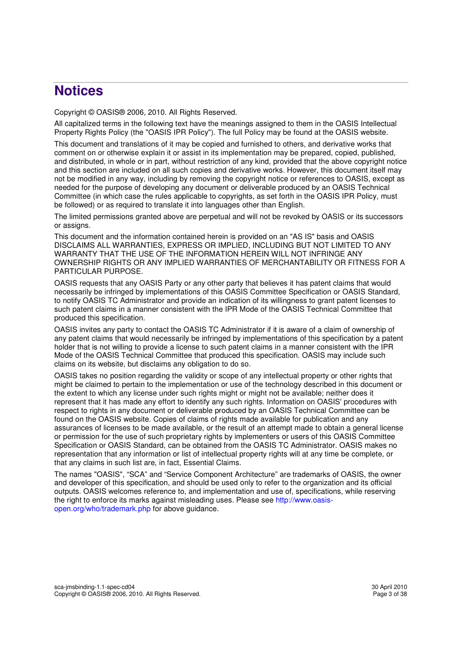# **Notices**

Copyright © OASIS® 2006, 2010. All Rights Reserved.

All capitalized terms in the following text have the meanings assigned to them in the OASIS Intellectual Property Rights Policy (the "OASIS IPR Policy"). The full Policy may be found at the OASIS website.

This document and translations of it may be copied and furnished to others, and derivative works that comment on or otherwise explain it or assist in its implementation may be prepared, copied, published, and distributed, in whole or in part, without restriction of any kind, provided that the above copyright notice and this section are included on all such copies and derivative works. However, this document itself may not be modified in any way, including by removing the copyright notice or references to OASIS, except as needed for the purpose of developing any document or deliverable produced by an OASIS Technical Committee (in which case the rules applicable to copyrights, as set forth in the OASIS IPR Policy, must be followed) or as required to translate it into languages other than English.

The limited permissions granted above are perpetual and will not be revoked by OASIS or its successors or assigns.

This document and the information contained herein is provided on an "AS IS" basis and OASIS DISCLAIMS ALL WARRANTIES, EXPRESS OR IMPLIED, INCLUDING BUT NOT LIMITED TO ANY WARRANTY THAT THE USE OF THE INFORMATION HEREIN WILL NOT INFRINGE ANY OWNERSHIP RIGHTS OR ANY IMPLIED WARRANTIES OF MERCHANTABILITY OR FITNESS FOR A PARTICULAR PURPOSE.

OASIS requests that any OASIS Party or any other party that believes it has patent claims that would necessarily be infringed by implementations of this OASIS Committee Specification or OASIS Standard, to notify OASIS TC Administrator and provide an indication of its willingness to grant patent licenses to such patent claims in a manner consistent with the IPR Mode of the OASIS Technical Committee that produced this specification.

OASIS invites any party to contact the OASIS TC Administrator if it is aware of a claim of ownership of any patent claims that would necessarily be infringed by implementations of this specification by a patent holder that is not willing to provide a license to such patent claims in a manner consistent with the IPR Mode of the OASIS Technical Committee that produced this specification. OASIS may include such claims on its website, but disclaims any obligation to do so.

OASIS takes no position regarding the validity or scope of any intellectual property or other rights that might be claimed to pertain to the implementation or use of the technology described in this document or the extent to which any license under such rights might or might not be available; neither does it represent that it has made any effort to identify any such rights. Information on OASIS' procedures with respect to rights in any document or deliverable produced by an OASIS Technical Committee can be found on the OASIS website. Copies of claims of rights made available for publication and any assurances of licenses to be made available, or the result of an attempt made to obtain a general license or permission for the use of such proprietary rights by implementers or users of this OASIS Committee Specification or OASIS Standard, can be obtained from the OASIS TC Administrator. OASIS makes no representation that any information or list of intellectual property rights will at any time be complete, or that any claims in such list are, in fact, Essential Claims.

The names "OASIS", "SCA" and "Service Component Architecture" are trademarks of OASIS, the owner and developer of this specification, and should be used only to refer to the organization and its official outputs. OASIS welcomes reference to, and implementation and use of, specifications, while reserving the right to enforce its marks against misleading uses. Please see http://www.oasisopen.org/who/trademark.php for above guidance.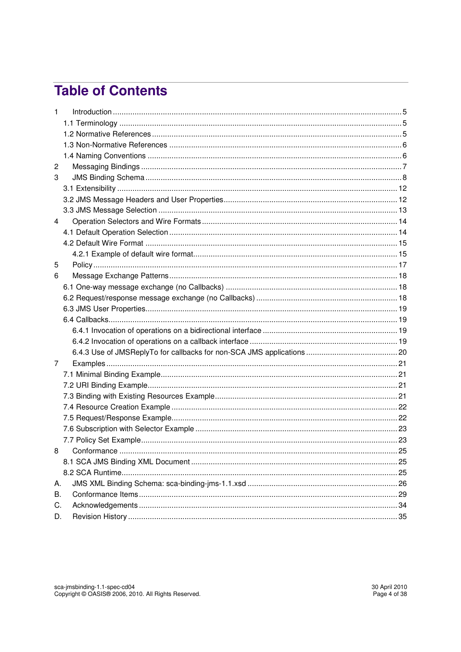# **Table of Contents**

| $\mathbf{1}$ |  |
|--------------|--|
|              |  |
|              |  |
|              |  |
|              |  |
| 2            |  |
| 3            |  |
|              |  |
|              |  |
|              |  |
| 4            |  |
|              |  |
|              |  |
|              |  |
| 5            |  |
| 6            |  |
|              |  |
|              |  |
|              |  |
|              |  |
|              |  |
|              |  |
|              |  |
| 7            |  |
|              |  |
|              |  |
|              |  |
|              |  |
|              |  |
|              |  |
|              |  |
| 8            |  |
|              |  |
|              |  |
| А.           |  |
| В.           |  |
| C.           |  |
| D.           |  |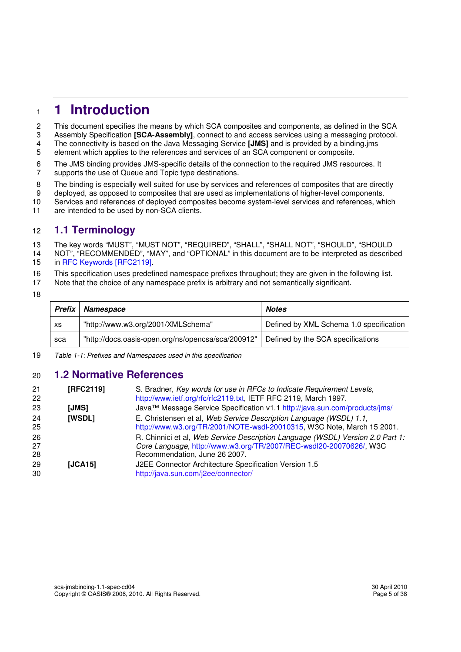# <sup>1</sup>**1 Introduction**

- 2 This document specifies the means by which SCA composites and components, as defined in the SCA<br>3 Assembly Specification **ISCA-Assembly** 1, connect to and access services using a messaging protocol.
- Assembly Specification **[SCA-Assembly]**, connect to and access services using a messaging protocol.
- 4 The connectivity is based on the Java Messaging Service **[JMS]** and is provided by a binding.jms
- 5 element which applies to the references and services of an SCA component or composite.
- 6 The JMS binding provides JMS-specific details of the connection to the required JMS resources. It<br>7 supports the use of Queue and Topic type destinations. supports the use of Queue and Topic type destinations.
- 8 The binding is especially well suited for use by services and references of composites that are directly
- 9 deployed, as opposed to composites that are used as implementations of higher-level components.
- 10 Services and references of deployed composites become system-level services and references, which
- 11 are intended to be used by non-SCA clients.

### 12 **1.1 Terminology**

- 13 The key words "MUST", "MUST NOT", "REQUIRED", "SHALL", "SHALL NOT", "SHOULD", "SHOULD
- 14 NOT", "RECOMMENDED", "MAY", and "OPTIONAL" in this document are to be interpreted as described 15 in RFC Keywords [RFC2119].
- 16 This specification uses predefined namespace prefixes throughout; they are given in the following list.
- 17 Note that the choice of any namespace prefix is arbitrary and not semantically significant.
- 18

| <b>Prefix</b> | Namespace                                          | <b>Notes</b>                            |
|---------------|----------------------------------------------------|-----------------------------------------|
| XS            | "http://www.w3.org/2001/XMLSchema"                 | Defined by XML Schema 1.0 specification |
| sca           | "http://docs.oasis-open.org/ns/opencsa/sca/200912" | Defined by the SCA specifications       |

19 Table 1-1: Prefixes and Namespaces used in this specification

### 20 **1.2 Normative References**

| 21             | [RFC2119]      | S. Bradner, Key words for use in RFCs to Indicate Requirement Levels,                                                                                                                 |
|----------------|----------------|---------------------------------------------------------------------------------------------------------------------------------------------------------------------------------------|
| 22             |                | http://www.ietf.org/rfc/rfc2119.txt, IETF RFC 2119, March 1997.                                                                                                                       |
| 23             | [JMS]          | Java™ Message Service Specification v1.1 http://java.sun.com/products/jms/                                                                                                            |
| 24<br>25       | <b>IWSDLI</b>  | E. Christensen et al, Web Service Description Language (WSDL) 1.1,<br>http://www.w3.org/TR/2001/NOTE-wsdl-20010315, W3C Note, March 15 2001.                                          |
| 26<br>27<br>28 |                | R. Chinnici et al, Web Service Description Language (WSDL) Version 2.0 Part 1:<br>Core Language, http://www.w3.org/TR/2007/REC-wsdl20-20070626/, W3C<br>Recommendation, June 26 2007. |
| 29             | <b>IJCA151</b> | J2EE Connector Architecture Specification Version 1.5                                                                                                                                 |
| 30             |                | http://java.sun.com/j2ee/connector/                                                                                                                                                   |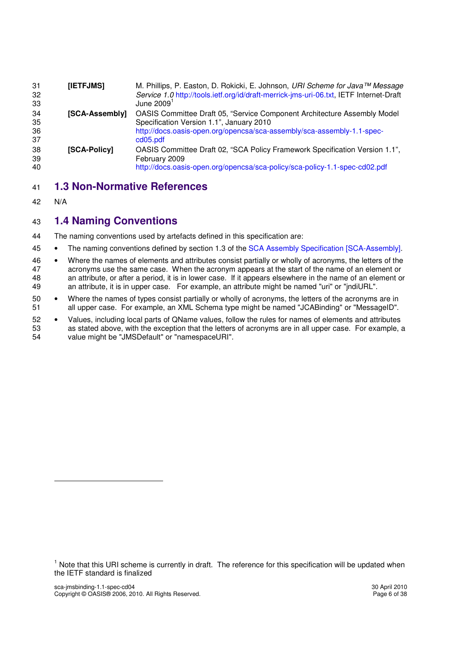| 31 | [IETFJMS]      | M. Phillips, P. Easton, D. Rokicki, E. Johnson, URI Scheme for Java™ Message           |
|----|----------------|----------------------------------------------------------------------------------------|
| 32 |                | Service 1.0 http://tools.ietf.org/id/draft-merrick-jms-uri-06.txt, IETF Internet-Draft |
| 33 |                | June $20091$                                                                           |
| 34 | [SCA-Assembly] | OASIS Committee Draft 05, "Service Component Architecture Assembly Model               |
| 35 |                | Specification Version 1.1", January 2010                                               |
| 36 |                | http://docs.oasis-open.org/opencsa/sca-assembly/sca-assembly-1.1-spec-                 |
| 37 |                | cd05.pdf                                                                               |
| 38 | [SCA-Policy]   | OASIS Committee Draft 02, "SCA Policy Framework Specification Version 1.1",            |
| 39 |                | February 2009                                                                          |
| 40 |                | http://docs.oasis-open.org/opencsa/sca-policy/sca-policy-1.1-spec-cd02.pdf             |

### 41 **1.3 Non-Normative References**

42 N/A

-

### 43 **1.4 Naming Conventions**

44 The naming conventions used by artefacts defined in this specification are:

- 45 The naming conventions defined by section 1.3 of the SCA Assembly Specification [SCA-Assembly].
- 46 Where the names of elements and attributes consist partially or wholly of acronyms, the letters of the 47 acronyms use the same case. When the acronym appears at the start of the name of an element or 48 an attribute, or after a period, it is in lower case. If it appears elsewhere in the name of an element or 49 an attribute, it is in upper case. For example, an attribute might be named "uri" or "jndiURL".
- 50 Where the names of types consist partially or wholly of acronyms, the letters of the acronyms are in 51 all upper case. For example, an XML Schema type might be named "JCABinding" or "MessageID".
- 52 Values, including local parts of QName values, follow the rules for names of elements and attributes 53 as stated above, with the exception that the letters of acronyms are in all upper case. For example, a 54 value might be "JMSDefault" or "namespaceURI".

<sup>&</sup>lt;sup>1</sup> Note that this URI scheme is currently in draft. The reference for this specification will be updated when the IETF standard is finalized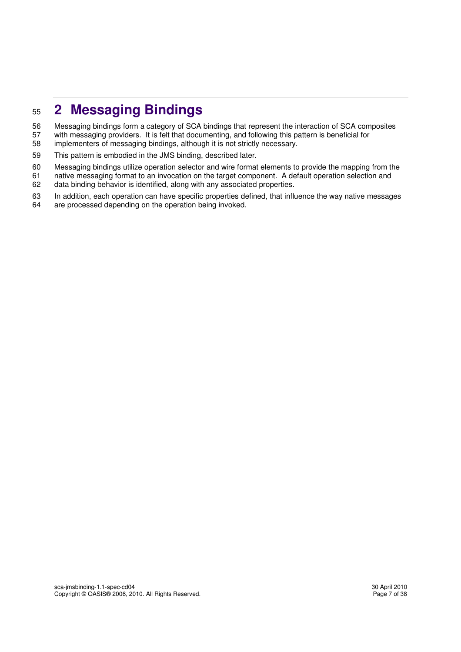# <sup>55</sup>**2 Messaging Bindings**

56 Messaging bindings form a category of SCA bindings that represent the interaction of SCA composites 57 with messaging providers. It is felt that documenting, and following this pattern is beneficial for 57 with messaging providers. It is felt that documenting, and following this pattern is beneficial for 58 implementers of messaging bindings. although it is not strictly necessary.

- implementers of messaging bindings, although it is not strictly necessary.
- 59 This pattern is embodied in the JMS binding, described later.
- 60 Messaging bindings utilize operation selector and wire format elements to provide the mapping from the
- 61 native messaging format to an invocation on the target component. A default operation selection and
- 62 data binding behavior is identified, along with any associated properties.
- 63 In addition, each operation can have specific properties defined, that influence the way native messages 64 are processed depending on the operation being invoked.
- are processed depending on the operation being invoked.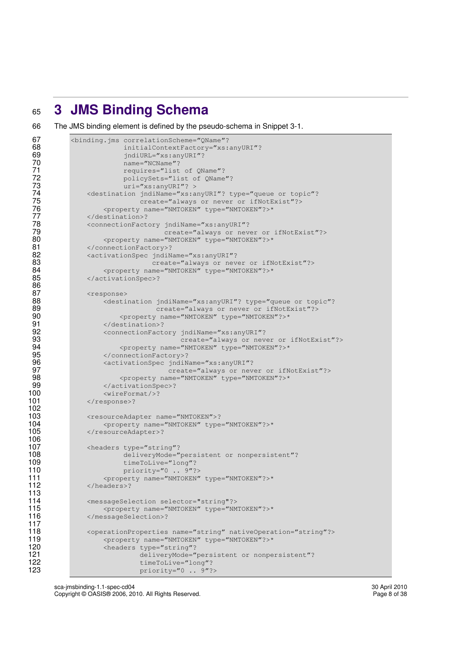# <sup>65</sup>**3 JMS Binding Schema**

66 The JMS binding element is defined by the pseudo-schema in Snippet 3-1.

```
67 <br />
<br />
<br />
<br />
of the state of the state of the state of the state<br />
initialContextFactory="xs:
<br />
initialContextFactory="xs:
<br />
initialContextFactory="xs:
<br />
initialContextFactory="xs:
<br 
 68 initialContextFactory="xs:anyURI"?<br>69 indiURL="xs:anyURI"?
 69 jndiURL="xs:anyURI"?<br>
70 name="NCName"?<br>
71 requires="list of QN<br>
72 policySets="list of QN<br>
73 uri="xs:anyURI"? ><br>
74 <destination jndiName="xs:any<br>
75 create="always"<br>
76 <property name="NMTOKEN"<br>
77 </destination>?
                                 name="NCName"?
                                 requires="list of QName"?
                                 policySets="list of QName"?
                                  uri="xs:anyURI"? >
                     74 <destination jndiName="xs:anyURI"? type="queue or topic"? 
                                      create="always or never or ifNotExist"?>
                          76 <property name="NMTOKEN" type="NMTOKEN"?>* 
 77 </destination>?<br>78 <connectionFact>
 78 <connectionFactory jndiName="xs:anyURI"?<br>79 create="always or nev
 79 create="always or never or ifNotExist"?><br>80 create="NMTOKEN" type="NMTOKEN"?>*
                          80 <property name="NMTOKEN" type="NMTOKEN"?>* 
 81 </connectionFactory>?<br>82 <activationSpecindiN
 82 <activationSpec jndiName="xs:anyURI"?<br>83 create="always or nev
 83 create="always or never or ifNotExist"?><br>84 corresponding the control of the control of the control of the control of the control of the control of the control of the control of the control of the control of the contr
 84 <property name="NMTOKEN" type="NMTOKEN"?>*<br>85 </activationSpec>?
                     85 </activationSpec>? 
 86<br>87
 87 <response><br>88 <sesponse>
 88 <destination jndiName="xs:anyURI"? type="queue or topic"?<br>89 create="always or never or ifNotExist"?>
  89 89 create="always or never or ifNotExist"?>
  90 <property name="NMTOKEN" type="NMTOKEN"?>*
 91 </destination>?<br>92 <connectionFactor
 92 <connectionFactory jndiName="xs:anyURI"?<br>93 create="always or nev
 93 create="always or never or ifNotExist"?><br>94 cproperty name="NMTOKEN" type="NMTOKEN"?>*
 94 <property name="NMTOKEN" type="NMTOKEN"?>*<br>95 </connectionFactory>?
 95 </connectionFactory>?<br>96 < activationSpec indiN
 96 <activationSpec jndiName="xs:anyURI"?<br>97 <activationSpec for example \frac{m}{2}97 create="always or never or ifNotExist"?><br>98 control of the control of the control of the control of the control of the control of the control of the control of the control of the control of the control of the control of
 98 <property name="NMTOKEN" type="NMTOKEN"?>*<br>99 </activationSpec>?
99 </activationSpec>?<br>100 <wireFormat/>?
100 <wireFormat/>?<br>101 </response>?
                     </response>?
102 
103 <resourceAdapter name="NMTOKEN">?<br>104 <br/>>>>>>>>>> <property name="NMTOKEN" type
104 <property name="NMTOKEN" type="NMTOKEN"?>*<br>105 </resourceAdapter>?
                     </resourceAdapter>?
106 
107 <headers type="string"?<br>108 deliveryMode="
108 deliveryMode="persistent or nonpersistent"?<br>109 timeToLive="long"?
109 timeToLive="long"?<br>110 priority="0..9"?
110 priority="0 .. 9"?> 
111 <property name="NMTOKEN" type="NMTOKEN"?>*<br>112 </headers>?
                     </headers>?
113 
114 <messageSelection selector="string"?> 
115 <property name="NMTOKEN" type="NMTOKEN"?>*<br>116 </messageSelection>?
                     </messageSelection>?
117 
118 < operationProperties name="string" nativeOperation="string"?><br>119 < operaty name="NMTOKEN" type="NMTOKEN"?>*
119 <property name="NMTOKEN" type="NMTOKEN"?>*<br>120 <headers type="string"?
120 <headers type="string"?<br>121 deliveryMode="
121 deliveryMode="persistent or nonpersistent"?<br>122 timeToLive="long"?
122 timeToLive="long"?<br>123 priority="0...9"?
                                       priority="0 .. 9"?>
```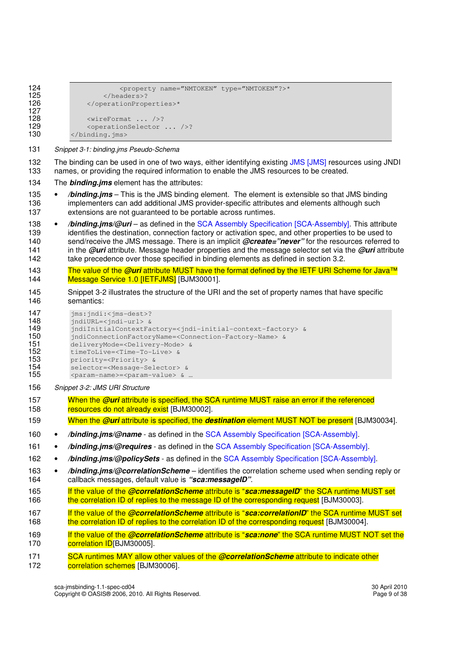```
124 <property name="NMTOKEN" type="NMTOKEN"?>*<br>125 </headers>?
125 </headers>?<br>126 </operationProp
                 126 </operationProperties>* 
127<br>128
128 <wireFormat ... />?<br>129 <operationSelector
                 <operationSelector ... />?
130 \langlebinding.jms>
```
- 131 Snippet 3-1: binding.jms Pseudo-Schema
- 132 The binding can be used in one of two ways, either identifying existing JMS [JMS] resources using JNDI 133 names, or providing the required information to enable the JMS resources to be created.
- 134 The **binding.jms** element has the attributes:
- 135 **/binding.jms** This is the JMS binding element. The element is extensible so that JMS binding 136 implementers can add additional JMS provider-specific attributes and elements although such 137 extensions are not guaranteed to be portable across runtimes.
- 138 **/binding.jms/@uri**  as defined in the SCA Assembly Specification [SCA-Assembly]. This attribute 139 identifies the destination, connection factory or activation spec, and other properties to be used to 140 send/receive the JMS message. There is an implicit **@create="never"** for the resources referred to 141 in the **@uri** attribute. Message header properties and the message selector set via the **@uri** attribute 142 take precedence over those specified in binding elements as defined in section 3.2.
- 143 The value of the **@uri** attribute MUST have the format defined by the IETF URI Scheme for Java™ 144 Message Service 1.0 [IETFJMS] [BJM30001].
- 145 Snippet 3-2 illustrates the structure of the URI and the set of property names that have specific 146 semantics:
- 147 jms:jndi:<jms-dest>?
- 148 jndiURL=<jndi-url> &<br>149 indiInitialContextFa
- 149 indiInitialContextFactory=<jndi-initial-context-factory> &<br>150 indiConnectionFactoryName=<Connection-Factory-Name> &
- 150 jndiConnectionFactoryName=<Connection-Factory-Name> &<br>151 deliveryMode=<Delivery-Mode> &
- 151 deliveryMode=<Delivery-Mode> &<br>152 timeToLive=<Time-To-Live> &
- 152 timeToLive=<Time-To-Live> &<br>153 priority=<Priority> &
- 153 priority=<Priority> &<br>154 selector=<Message-Sel
- selector=<Message-Selector> &
- 155 <param-name>=<param-value> & …
- 156 Snippet 3-2: JMS URI Structure
- 157 When the **@uri** attribute is specified, the SCA runtime MUST raise an error if the referenced 158 resources do not already exist [BJM30002].
- 159 When the **@uri** attribute is specified, the **destination** element MUST NOT be present [BJM30034].
- 160 **/binding.jms/@name** as defined in the SCA Assembly Specification [SCA-Assembly].
- 161 **/binding.jms/@requires** as defined in the SCA Assembly Specification [SCA-Assembly].
- 162 **/binding.jms/@policySets** as defined in the SCA Assembly Specification [SCA-Assembly].
- 163 **/binding.jms/@correlationScheme**  identifies the correlation scheme used when sending reply or 164 callback messages, default value is **"sca:messageID"**.
- 165 If the value of the **@correlationScheme** attribute is "**sca:messageID**" the SCA runtime MUST set 166 the correlation ID of replies to the message ID of the corresponding request [BJM30003].
- 167 If the value of the **@correlationScheme** attribute is "**sca:correlationID**" the SCA runtime MUST set 168 the correlation ID of replies to the correlation ID of the corresponding request [BJM30004].
- 169 If the value of the **@correlationScheme** attribute is "**sca:none**" the SCA runtime MUST NOT set the 170 **correlation ID**[BJM30005].
- 171 SCA runtimes MAY allow other values of the **@correlationScheme** attribute to indicate other
- 172 correlation schemes [BJM30006].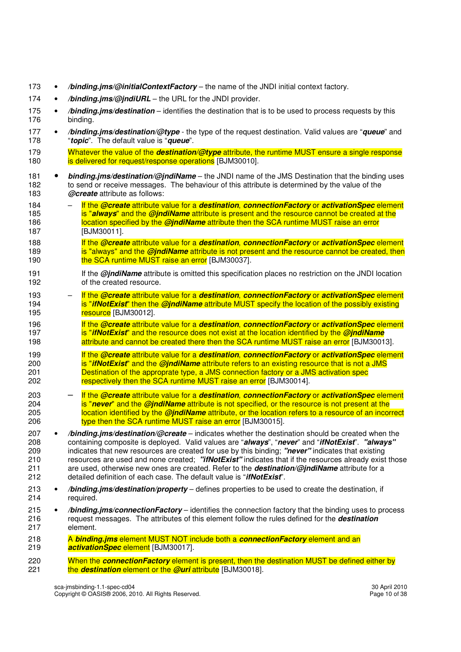- 173 **/binding.jms/@initialContextFactory**  the name of the JNDI initial context factory.
- 174 /binding.jms/@jndiURL the URL for the JNDI provider.
- 175 **/binding.jms/destination** identifies the destination that is to be used to process requests by this 176 binding.
- 177 **/binding.jms/destination/@type** the type of the request destination. Valid values are "**queue**" and 178 "**topic**". The default value is "**queue**".
- 179 Whatever the value of the **destination/@type** attribute, the runtime MUST ensure a single response 180 is delivered for request/response operations [BJM30010].
- <sup>181</sup> **binding.jms/destination/@jndiName** the JNDI name of the JMS Destination that the binding uses 182 to send or receive messages. The behaviour of this attribute is determined by the value of the 183 **@create** attribute as follows:
- 184 If the **@create** attribute value for a **destination**, **connectionFactory** or **activationSpec** element 185 is "**always**" and the **@jndiName** attribute is present and the resource cannot be created at the 186 location specified by the **@jndiName** attribute then the SCA runtime MUST raise an error 187 [BJM30011].
- 188 If the **@create** attribute value for a **destination**, **connectionFactory** or **activationSpec** element 189 is "always" and the **@jndiName** attribute is not present and the resource cannot be created, then 190 **the SCA runtime MUST raise an error [BJM30037].**
- 191 If the **@jndiName** attribute is omitted this specification places no restriction on the JNDI location 192 of the created resource.
- 193 If the **@create** attribute value for a **destination**, **connectionFactory** or **activationSpec** element 194 is "**ifNotExist**" then the **@jndiName** attribute MUST specify the location of the possibly existing 195 **resource** [BJM30012].
- 196 If the **@create** attribute value for a **destination**, **connectionFactory** or **activationSpec** element 197 is "**ifNotExist**" and the resource does not exist at the location identified by the **@jndiName** 198 attribute and cannot be created there then the SCA runtime MUST raise an error [BJM30013].
- 199 If the **@create** attribute value for a **destination**, **connectionFactory** or **activationSpec** element 200 is "**ifNotExist**" and the **@jndiName** attribute refers to an existing resource that is not a JMS 201 Destination of the approprate type, a JMS connection factory or a JMS activation spec 202 **respectively then the SCA runtime MUST raise an error** [BJM30014].
- 203 If the **@create** attribute value for a **destination**, **connectionFactory** or **activationSpec** element 204 is "**never**" and the **@jndiName** attribute is not specified, or the resource is not present at the 205 location identified by the **@jndiName** attribute, or the location refers to a resource of an incorrect 206 type then the SCA runtime MUST raise an error [BJM30015].
- 207 **/binding.jms/destination/@create** indicates whether the destination should be created when the 208 containing composite is deployed. Valid values are "**always**", "**never**" and "**ifNotExist**". **"always"** 209 indicates that new resources are created for use by this binding; **"never"** indicates that existing 210 resources are used and none created; **"ifNotExist"** indicates that if the resources already exist those 211 are used, otherwise new ones are created. Refer to the **destination/@jndiName** attribute for a 212 detailed definition of each case. The default value is "**ifNotExist**".
- 213 **/binding.jms/destination/property** defines properties to be used to create the destination, if 214 required.
- 215 **/binding.jms/connectionFactory** identifies the connection factory that the binding uses to process 216 request messages. The attributes of this element follow the rules defined for the **destination** 217 element.
- 218 A **binding.jms** element MUST NOT include both a **connectionFactory** element and an 219 **activationSpec** element [BJM30017].
- 220 When the **connectionFactory** element is present, then the destination MUST be defined either by 221 the **destination** element or the **@uri** attribute [BJM30018].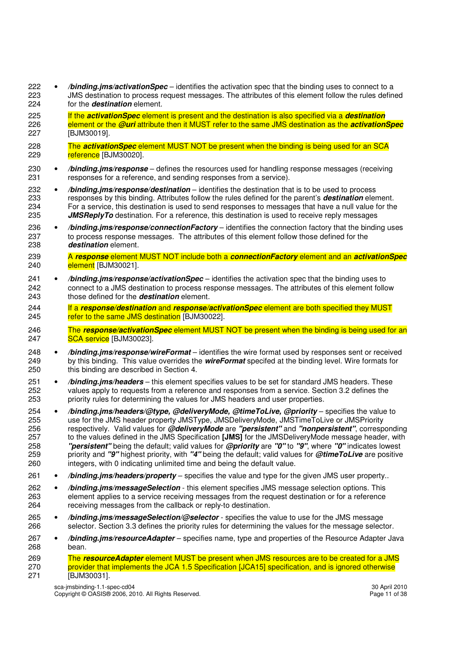- 222 **/binding.jms/activationSpec** identifies the activation spec that the binding uses to connect to a 223 JMS destination to process request messages. The attributes of this element follow the rules defined 224 for the **destination** element.
- 225 If the **activationSpec** element is present and the destination is also specified via a **destination** 226 element or the **@uri** attribute then it MUST refer to the same JMS destination as the **activationSpec** 227 [BJM30019].
- 228 The **activationSpec** element MUST NOT be present when the binding is being used for an SCA 229 reference [BJM30020].
- 230 **/binding.jms/response** defines the resources used for handling response messages (receiving 231 responses for a reference, and sending responses from a service).
- 232 **/binding.jms/response/destination** identifies the destination that is to be used to process 233 responses by this binding. Attributes follow the rules defined for the parent's **destination** element. 234 For a service, this destination is used to send responses to messages that have a null value for the 235 **JMSReplyTo** destination. For a reference, this destination is used to receive reply messages
- 236 **/binding.jms/response/connectionFactory** identifies the connection factory that the binding uses 237 to process response messages. The attributes of this element follow those defined for the 238 **destination** element.
- 239 A **response** element MUST NOT include both a **connectionFactory** element and an **activationSpec** 240 **element** [BJM30021].
- 241 **/binding.jms/response/activationSpec** identifies the activation spec that the binding uses to 242 connect to a JMS destination to process response messages. The attributes of this element follow 243 those defined for the **destination** element.
- 244 If a **response/destination** and **response/activationSpec** element are both specified they MUST 245 refer to the same JMS destination [BJM30022].
- 246 The **response/activationSpec** element MUST NOT be present when the binding is being used for an 247 **SCA service** [BJM30023].
- 248 **/binding.jms/response/wireFormat** identifies the wire format used by responses sent or received 249 by this binding. This value overrides the **wireFormat** specifed at the binding level. Wire formats for this binding are described in Section 4.
- 251 **/binding.jms/headers** this element specifies values to be set for standard JMS headers. These 252 values apply to requests from a reference and responses from a service. Section 3.2 defines the 253 priority rules for determining the values for JMS headers and user properties.
- 254 **/binding.jms/headers/@type, @deliveryMode, @timeToLive, @priority** specifies the value to 255 use for the JMS header property JMSType, JMSDeliveryMode, JMSTimeToLive or JMSPriority 256 respectively. Valid values for **@deliveryMode** are **"persistent"** and **"nonpersistent"**, corresponding 257 to the values defined in the JMS Specification **[JMS]** for the JMSDeliveryMode message header, with 258 **"persistent"** being the default; valid values for **@priority** are **"0"** to **"9"**, where **"0"** indicates lowest 259 priority and **"9"** highest priority, with **"4"** being the default; valid values for **@timeToLive** are positive 260 integers, with 0 indicating unlimited time and being the default value.
- 261 **/binding.jms/headers/property** specifies the value and type for the given JMS user property..
- 262 **/binding.jms/messageSelection** this element specifies JMS message selection options. This 263 element applies to a service receiving messages from the request destination or for a reference 264 receiving messages from the callback or reply-to destination.
- 265 **/binding.jms/messageSelection/@selector** specifies the value to use for the JMS message 266 selector. Section 3.3 defines the priority rules for determining the values for the message selector.
- 267 **/binding.jms/resourceAdapter** specifies name, type and properties of the Resource Adapter Java 268 bean.
- 269 The **resourceAdapter** element MUST be present when JMS resources are to be created for a JMS 270 provider that implements the JCA 1.5 Specification [JCA15] specification, and is ignored otherwise 271 [BJM30031].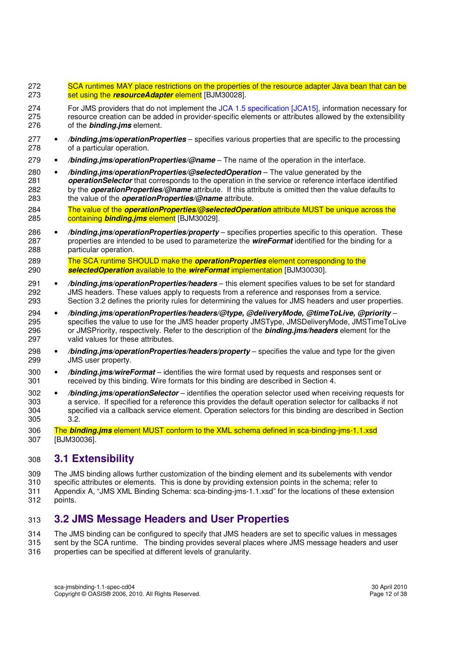- 272 SCA runtimes MAY place restrictions on the properties of the resource adapter Java bean that can be 273 set using the **resourceAdapter** element [BJM30028].
- 274 For JMS providers that do not implement the JCA 1.5 specification [JCA15], information necessary for 275 resource creation can be added in provider-specific elements or attributes allowed by the extensibility 276 of the **binding.jms** element.
- 277 **/binding.jms/operationProperties** specifies various properties that are specific to the processing of a particular operation.
- 279 **/binding.jms/operationProperties/@name** The name of the operation in the interface.
- 280 **/binding.jms/operationProperties/@selectedOperation** The value generated by the 281 **operationSelector** that corresponds to the operation in the service or reference interface identified 282 by the **operationProperties/@name** attribute. If this attribute is omitted then the value defaults to 283 the value of the **operationProperties/@name** attribute.
- 284 The value of the **operationProperties/@selectedOperation** attribute MUST be unique across the 285 containing **binding.jms** element [BJM30029].
- 286 **/binding.jms/operationProperties/property** specifies properties specific to this operation. These 287 properties are intended to be used to parameterize the **wireFormat** identified for the binding for a 288 particular operation.
- 289 The SCA runtime SHOULD make the **operationProperties** element corresponding to the 290 **selectedOperation** available to the **wireFormat** implementation [BJM30030].
- 291 **/binding.jms/operationProperties/headers** this element specifies values to be set for standard 292 JMS headers. These values apply to requests from a reference and responses from a service. 293 Section 3.2 defines the priority rules for determining the values for JMS headers and user properties.
- 294 **/binding.jms/operationProperties/headers/@type, @deliveryMode, @timeToLive, @priority** 295 specifies the value to use for the JMS header property JMSType, JMSDeliveryMode, JMSTimeToLive 296 or JMSPriority, respectively. Refer to the description of the **binding.jms/headers** element for the 297 valid values for these attributes.
- 298 **/binding.jms/operationProperties/headers/property** specifies the value and type for the given 299 JMS user property.
- 300 **/binding.jms/wireFormat** identifies the wire format used by requests and responses sent or 301 received by this binding. Wire formats for this binding are described in Section 4.
- 302 **/binding.jms/operationSelector** identifies the operation selector used when receiving requests for 303 a service. If specified for a reference this provides the default operation selector for callbacks if not 304 specified via a callback service element. Operation selectors for this binding are described in Section 305 3.2.
- 306 The **binding.jms** element MUST conform to the XML schema defined in sca-binding-jms-1.1.xsd 307 [BJM30036].

### 308 **3.1 Extensibility**

309 The JMS binding allows further customization of the binding element and its subelements with vendor

310 specific attributes or elements. This is done by providing extension points in the schema; refer to 311 Appendix A, "JMS XML Binding Schema: sca-binding-jms-1.1.xsd" for the locations of these extension

312 points.

### 313 **3.2 JMS Message Headers and User Properties**

314 The JMS binding can be configured to specify that JMS headers are set to specific values in messages 315 sent by the SCA runtime. The binding provides several places where JMS message headers and user 316 properties can be specified at different levels of granularity.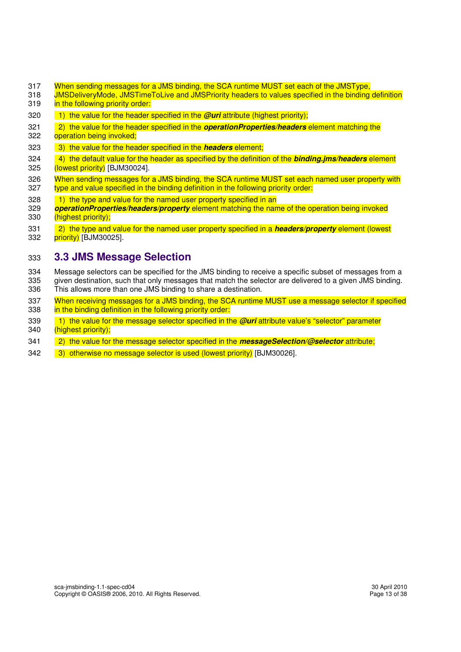- 
- 317 When sending messages for a JMS binding, the SCA runtime MUST set each of the JMSType,<br>318 JMSDeliveryMode, JMSTimeToLive and JMSPriority headers to values specified in the binding 318 JMSDeliveryMode, JMSTimeToLive and JMSPriority headers to values specified in the binding definition 319 **in the following priority order:**
- 320 1) the value for the header specified in the **@uri** attribute (highest priority);
- 321 2) the value for the header specified in the **operationProperties/headers** element matching the
- operation being invoked:
- 323 3) the value for the header specified in the **headers** element;
- 324 4) the default value for the header as specified by the definition of the **binding.jms/headers** element 325 (lowest priority) [BJM30024].
- 326 When sending messages for a JMS binding, the SCA runtime MUST set each named user property with 327 type and value specified in the binding definition in the following priority order:
- 328 1) the type and value for the named user property specified in an<br>329 **operationProperties/headers/property** element matching the nam
- 329 **operationProperties/headers/property** element matching the name of the operation being invoked 330 (highest priority);
- 331 2) the type and value for the named user property specified in a **headers/property** element (lowest 332 priority) [BJM30025].

### 333 **3.3 JMS Message Selection**

- 334 Message selectors can be specified for the JMS binding to receive a specific subset of messages from a 335 given destination, such that only messages that match the selector are delivered to a given JMS binding. 336 This allows more than one JMS binding to share a destination.
- 337 When receiving messages for a JMS binding, the SCA runtime MUST use a message selector if specified 338 in the binding definition in the following priority order:
- 339 1) the value for the message selector specified in the **@uri** attribute value's "selector" parameter 340 (highest priority);
- 341 2) the value for the message selector specified in the **messageSelection/@selector** attribute;
- 342 3) otherwise no message selector is used (lowest priority) [BJM30026].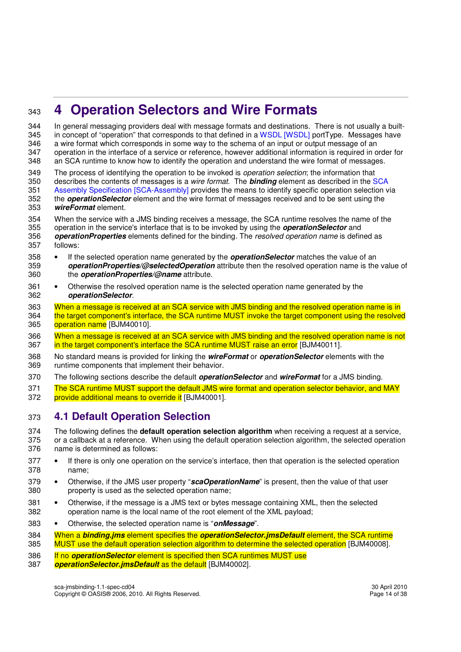# <sup>343</sup>**4 Operation Selectors and Wire Formats**

344 In general messaging providers deal with message formats and destinations. There is not usually a built-345 in concept of "operation" that corresponds to that defined in a WSDL [WSDL] portType. Messages have 346 a wire format which corresponds in some way to the schema of an input or output message of an 347 operation in the interface of a service or reference, however additional information is required in order for 348 an SCA runtime to know how to identify the operation and understand the wire format of messages.

349 The process of identifying the operation to be invoked is *operation selection*; the information that 350 describes the contents of messages is a wire format. The **binding** element as described in the SCA 351 Assembly Specification [SCA-Assembly] provides the means to identify specific operation selection via 352 the **operationSelector** element and the wire format of messages received and to be sent using the 353 **wireFormat** element.

354 When the service with a JMS binding receives a message, the SCA runtime resolves the name of the 355 operation in the service's interface that is to be invoked by using the **operationSelector** and 356 **operationProperties** elements defined for the binding. The resolved operation name is defined as 357 follows:

- 358 If the selected operation name generated by the **operationSelector** matches the value of an 359 **operationProperties/@selectedOperation** attribute then the resolved operation name is the value of the **operationProperties/@name** attribute.
- 361 Otherwise the resolved operation name is the selected operation name generated by the 362 **operationSelector**.
- 363 When a message is received at an SCA service with JMS binding and the resolved operation name is in 364 the target component's interface, the SCA runtime MUST invoke the target component using the resolved 365 operation name [BJM40010].
- 366 When a message is received at an SCA service with JMS binding and the resolved operation name is not 367 in the target component's interface the SCA runtime MUST raise an error [BJM40011].
- 368 No standard means is provided for linking the **wireFormat** or **operationSelector** elements with the 369 runtime components that implement their behavior.
- 370 The following sections describe the default **operationSelector** and **wireFormat** for a JMS binding.
- 371 The SCA runtime MUST support the default JMS wire format and operation selector behavior, and MAY 372 provide additional means to override it [BJM40001].

### 373 **4.1 Default Operation Selection**

374 The following defines the **default operation selection algorithm** when receiving a request at a service, 375 or a callback at a reference. When using the default operation selection algorithm, the selected operation 376 name is determined as follows:

- 377 If there is only one operation on the service's interface, then that operation is the selected operation 378 name;
- 379 Otherwise, if the JMS user property "**scaOperationName**" is present, then the value of that user 380 property is used as the selected operation name;
- 381 Otherwise, if the message is a JMS text or bytes message containing XML, then the selected 382 operation name is the local name of the root element of the XML payload;
- 383 Otherwise, the selected operation name is "**onMessage**".

384 When a **binding.jms** element specifies the **operationSelector.jmsDefault** element, the SCA runtime 385 MUST use the default operation selection algorithm to determine the selected operation [BJM40008].

386 If no **operationSelector** element is specified then SCA runtimes MUST use

387 **operationSelector.jmsDefault** as the default [BJM40002].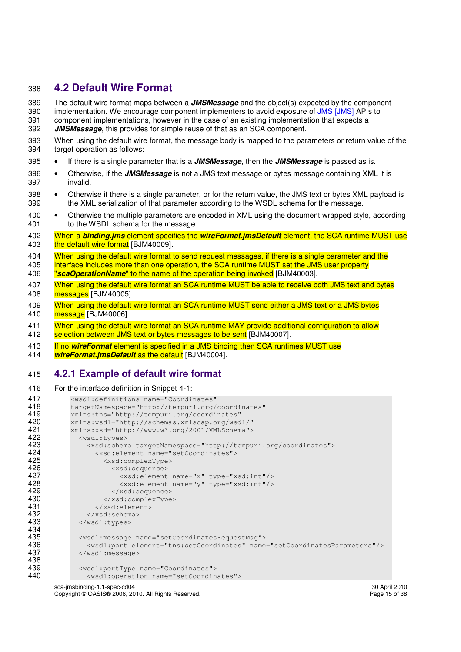### 388 **4.2 Default Wire Format**

389 The default wire format maps between a **JMSMessage** and the object(s) expected by the component 390 implementation. We encourage component implementers to avoid exposure of JMS [JMS] APIs to 391 component implementations, however in the case of an existing implementation that expects a

392 **JMSMessage**, this provides for simple reuse of that as an SCA component.

393 When using the default wire format, the message body is mapped to the parameters or return value of the 394 target operation as follows:

- 395 If there is a single parameter that is a **JMSMessage**, then the **JMSMessage** is passed as is.
- 396 Otherwise, if the **JMSMessage** is not a JMS text message or bytes message containing XML it is 397 invalid.
- 398 Otherwise if there is a single parameter, or for the return value, the JMS text or bytes XML payload is 399 the XML serialization of that parameter according to the WSDL schema for the message.
- 400 Otherwise the multiple parameters are encoded in XML using the document wrapped style, according 401 to the WSDL schema for the message.
- 402 When a **binding.jms** element specifies the **wireFormat.jmsDefault** element, the SCA runtime MUST use 403 the default wire format [BJM40009].
- 404 When using the default wire format to send request messages, if there is a single parameter and the 405 interface includes more than one operation, the SCA runtime MUST set the JMS user property
- 406 "**scaOperationName**" to the name of the operation being invoked [BJM40003].
- 407 When using the default wire format an SCA runtime MUST be able to receive both JMS text and bytes 408 messages [BJM40005].
- 409 When using the default wire format an SCA runtime MUST send either a JMS text or a JMS bytes 410 message [BJM40006].
- 411 When using the default wire format an SCA runtime MAY provide additional configuration to allow 412 selection between JMS text or bytes messages to be sent [BJM40007].
- 413 If no **wireFormat** element is specified in a JMS binding then SCA runtimes MUST use
- 
- 414 **wireFormat.jmsDefault** as the default [BJM40004].

#### 415 **4.2.1 Example of default wire format**

416 For the interface definition in Snippet 4-1:

| 417 | <wsdl:definitions <="" name="Coordinates" th=""></wsdl:definitions>                  |
|-----|--------------------------------------------------------------------------------------|
| 418 | targetNamespace="http://tempuri.org/coordinates"                                     |
| 419 | xmlns:tns="http://tempuri.org/coordinates"                                           |
| 420 | xmlns:wsdl="http://schemas.xmlsoap.org/wsdl/"                                        |
| 421 | xmlns:xsd="http://www.w3.org/2001/XMLSchema">                                        |
| 422 | <wsdl:types></wsdl:types>                                                            |
| 423 | <xsd:schema targetnamespace="http://tempuri.org/coordinates"></xsd:schema>           |
| 424 | <xsd:element name="setCoordinates"></xsd:element>                                    |
| 425 | <xsd:complextype></xsd:complextype>                                                  |
| 426 | <xsd:sequence></xsd:sequence>                                                        |
| 427 | <xsd:element name="x" type="xsd:int"></xsd:element>                                  |
| 428 | <xsd:element name="y" type="xsd:int"></xsd:element>                                  |
| 429 | $\langle xsd:sequence \rangle$                                                       |
| 430 |                                                                                      |
| 431 |                                                                                      |
| 432 | $\langle xsd:schema \rangle$                                                         |
| 433 |                                                                                      |
| 434 |                                                                                      |
| 435 | <wsdl:message name="setCoordinatesRequestMsq"></wsdl:message>                        |
| 436 | <wsdl:part element="tns:setCoordinates" name="setCoordinatesParameters"></wsdl:part> |
| 437 | $\langle$ /wsdl:message>                                                             |
| 438 |                                                                                      |
| 439 | <wsdl:porttype name="Coordinates"></wsdl:porttype>                                   |
| 440 | <wsdl:operation name="setCoordinates"></wsdl:operation>                              |
|     |                                                                                      |

sca-jmsbinding-1.1-spec-cd04<br>Copyright © OASIS® 2006, 2010. All Rights Reserved. Superversion of the state of the Page 15 of 38 Copyright © OASIS® 2006, 2010. All Rights Reserved.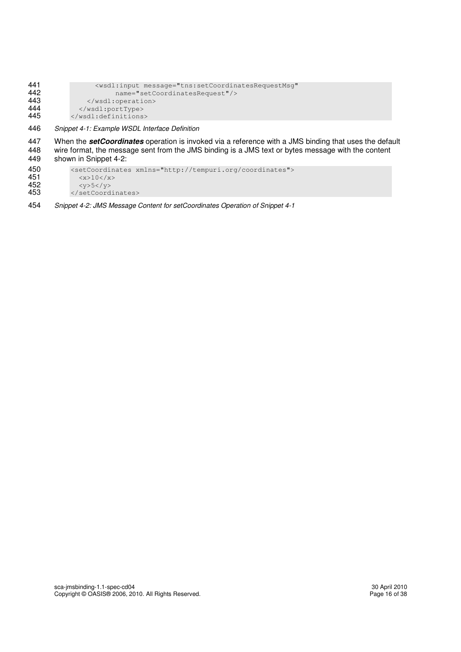| 441 | <wsdl:input <="" message="tns:setCoordinatesRequestMsq" th=""></wsdl:input> |
|-----|-----------------------------------------------------------------------------|
| 442 | name="setCoordinatesRequest"/>                                              |
| 443 | $\langle$ /wsdl:operation>                                                  |
| 444 |                                                                             |
| 445 |                                                                             |
|     |                                                                             |

446 Snippet 4-1: Example WSDL Interface Definition

```
447 When the setCoordinates operation is invoked via a reference with a JMS binding that uses the default 448 wire format, the message sent from the JMS binding is a JMS text or bytes message with the content
448 wire format, the message sent from the JMS binding is a JMS text or bytes message with the content 449 shown in Snippet 4-2:
          shown in Snippet 4-2:
450 <setCoordinates xmlns="http://tempuri.org/coordinates"><br>451 <x>10</x> <y>5</y>
                    <x>10 </x>
```
452  $\langle y \rangle$ 5</y>453  $\langle y \rangle$ setCoord 453 </setCoordinates>

454 Snippet 4-2: JMS Message Content for setCoordinates Operation of Snippet 4-1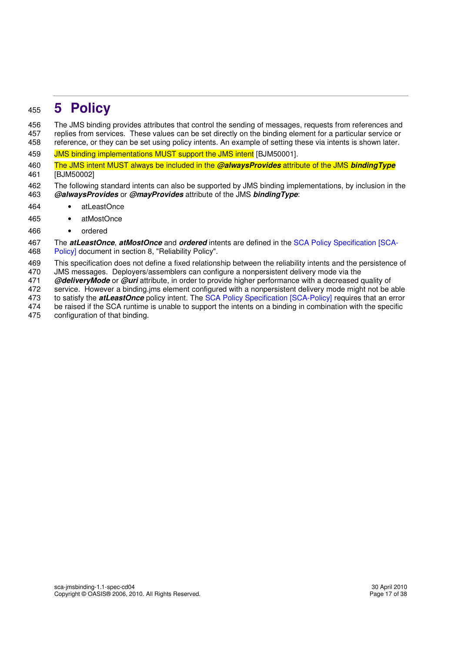# <sup>455</sup>**5 Policy**

456 The JMS binding provides attributes that control the sending of messages, requests from references and<br>457 replies from services. These values can be set directly on the binding element for a particular service or replies from services. These values can be set directly on the binding element for a particular service or 458 reference, or they can be set using policy intents. An example of setting these via intents is shown later. 459 JMS binding implementations MUST support the JMS intent [BJM50001]. 460 The JMS intent MUST always be included in the **@alwaysProvides** attribute of the JMS **bindingType** 461 [BJM50002] 462 The following standard intents can also be supported by JMS binding implementations, by inclusion in the 463 **@alwaysProvides** or **@mayProvides** attribute of the JMS **bindingType**: 464 • atLeastOnce 465 • atMostOnce

- 
- 466 ordered
- 467 The **atLeastOnce**, **atMostOnce** and **ordered** intents are defined in the SCA Policy Specification [SCA-468 Policy] document in section 8, "Reliability Policy".
- 469 This specification does not define a fixed relationship between the reliability intents and the persistence of
- 470 JMS messages. Deployers/assemblers can configure a nonpersistent delivery mode via the
- 471 **@deliveryMode** or **@uri** attribute, in order to provide higher performance with a decreased quality of
- 472 service. However a binding.jms element configured with a nonpersistent delivery mode might not be able 473 to satisfy the **atLeastOnce** policy intent. The SCA Policy Specification [SCA-Policy] requires that an error
- 474 be raised if the SCA runtime is unable to support the intents on a binding in combination with the specific
- 475 configuration of that binding.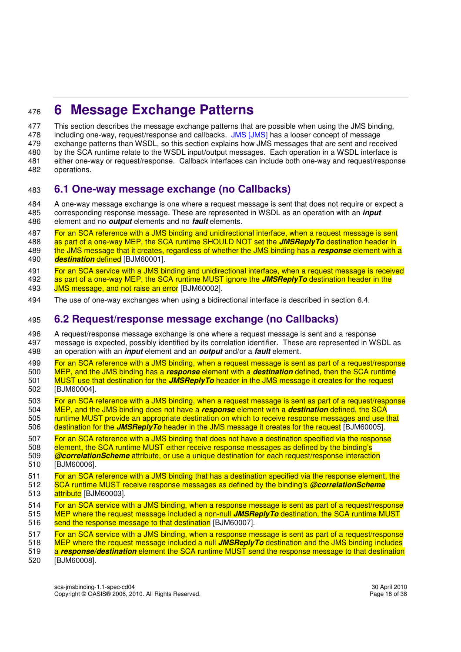# <sup>476</sup>**6 Message Exchange Patterns**

477 This section describes the message exchange patterns that are possible when using the JMS binding, 478 including one-way, request/response and callbacks. JMS [JMS] has a looser concept of message 479 exchange patterns than WSDL, so this section explains how JMS messages that are sent and received<br>480 by the SCA runtime relate to the WSDL input/output messages. Each operation in a WSDL interface is by the SCA runtime relate to the WSDL input/output messages. Each operation in a WSDL interface is 481 either one-way or request/response. Callback interfaces can include both one-way and request/response 482 operations.

### 483 **6.1 One-way message exchange (no Callbacks)**

484 A one-way message exchange is one where a request message is sent that does not require or expect a 485 corresponding response message. These are represented in WSDL as an operation with an **input** 486 element and no **output** elements and no **fault** elements.

487 For an SCA reference with a JMS binding and unidirectional interface, when a request message is sent 488 as part of a one-way MEP, the SCA runtime SHOULD NOT set the **JMSReplyTo** destination header in 489 the JMS message that it creates, regardless of whether the JMS binding has a **response** element with a

490 **destination** defined [BJM60001].

491 For an SCA service with a JMS binding and unidirectional interface, when a request message is received

492 as part of a one-way MEP, the SCA runtime MUST ignore the **JMSReplyTo** destination header in the 493 JMS message, and not raise an error [BJM60002].

494 The use of one-way exchanges when using a bidirectional interface is described in section 6.4.

### 495 **6.2 Request/response message exchange (no Callbacks)**

496 A request/response message exchange is one where a request message is sent and a response 497 message is expected, possibly identified by its correlation identifier. These are represented in WSDL as 498 an operation with an **input** element and an **output** and/or a **fault** element.

499 For an SCA reference with a JMS binding, when a request message is sent as part of a request/response 500 MEP, and the JMS binding has a **response** element with a **destination** defined, then the SCA runtime 501 MUST use that destination for the **JMSReplyTo** header in the JMS message it creates for the request 502 [BJM60004].

503 For an SCA reference with a JMS binding, when a request message is sent as part of a request/response 504 MEP, and the JMS binding does not have a **response** element with a **destination** defined, the SCA 505 runtime MUST provide an appropriate destination on which to receive response messages and use that 506 destination for the **JMSReplyTo** header in the JMS message it creates for the request [BJM60005].

507 For an SCA reference with a JMS binding that does not have a destination specified via the response 508 element, the SCA runtime MUST either receive response messages as defined by the binding's 509 **@correlationScheme** attribute, or use a unique destination for each request/response interaction

- 510 [BJM60006].
- 511 For an SCA reference with a JMS binding that has a destination specified via the response element, the

512 SCA runtime MUST receive response messages as defined by the binding's **@correlationScheme** 513 **attribute** [BJM60003].

- 514 For an SCA service with a JMS binding, when a response message is sent as part of a request/response 515 MEP where the request message included a non-null **JMSReplyTo** destination, the SCA runtime MUST 516 send the response message to that destination [BJM60007].
- 517 For an SCA service with a JMS binding, when a response message is sent as part of a request/response
- 518 MEP where the request message included a null **JMSReplyTo** destination and the JMS binding includes

519 a **response/destination** element the SCA runtime MUST send the response message to that destination 520 [BJM60008].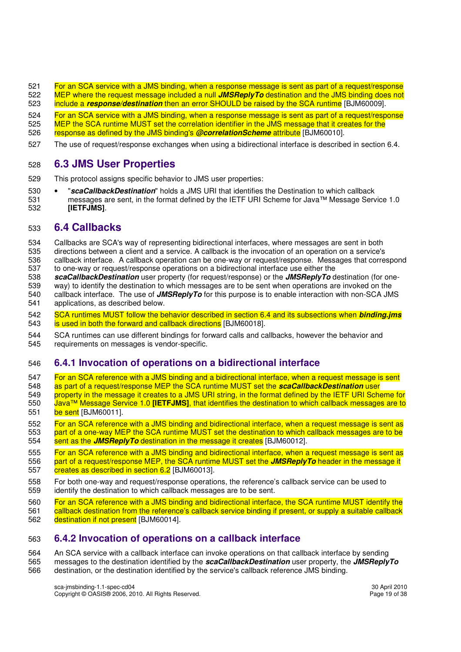521 For an SCA service with a JMS binding, when a response message is sent as part of a request/response<br>522 MEP where the request message included a null **JMSReplyTo** destination and the JMS binding does not MEP where the request message included a null **JMSReplyTo** destination and the JMS binding does not 523 include a **response/destination** then an error SHOULD be raised by the SCA runtime [BJM60009].

524 For an SCA service with a JMS binding, when a response message is sent as part of a request/response<br>525 MEP the SCA runtime MUST set the correlation identifier in the JMS message that it creates for the 525 MEP the SCA runtime MUST set the correlation identifier in the JMS message that it creates for the 526 response as defined by the JMS binding's *@correlationScheme* attribute [BJM60010]. 526 response as defined by the JMS binding's **@correlationScheme** attribute [BJM60010].

527 The use of request/response exchanges when using a bidirectional interface is described in section 6.4.

### 528 **6.3 JMS User Properties**

529 This protocol assigns specific behavior to JMS user properties:

530 • "**scaCallbackDestination**" holds a JMS URI that identifies the Destination to which callback 531 messages are sent, in the format defined by the IETF URI Scheme for Java™ Message Service 1.0 532 **[IETFJMS]**.

### 533 **6.4 Callbacks**

534 Callbacks are SCA's way of representing bidirectional interfaces, where messages are sent in both

535 directions between a client and a service. A callback is the invocation of an operation on a service's

- 536 callback interface. A callback operation can be one-way or request/response. Messages that correspond 537 to one-way or request/response operations on a bidirectional interface use either the
- 538 **scaCallbackDestination** user property (for request/response) or the **JMSReplyTo** destination (for one-539 way) to identify the destination to which messages are to be sent when operations are invoked on the
- 540 callback interface. The use of **JMSReplyTo** for this purpose is to enable interaction with non-SCA JMS 541 applications, as described below.
- 542 SCA runtimes MUST follow the behavior described in section 6.4 and its subsections when **binding.jms** 543 is used in both the forward and callback directions [BJM60018].
- 544 SCA runtimes can use different bindings for forward calls and callbacks, however the behavior and 545 requirements on messages is vendor-specific. requirements on messages is vendor-specific.

### 546 **6.4.1 Invocation of operations on a bidirectional interface**

- 547 For an SCA reference with a JMS binding and a bidirectional interface, when a request message is sent<br>548 as part of a request/response MEP the SCA runtime MUST set the **scaCallbackDestination** user as part of a request/response MEP the SCA runtime MUST set the **scaCallbackDestination** user
- 549 property in the message it creates to a JMS URI string, in the format defined by the IETF URI Scheme for 550<br>550 Java™ Message Service 1.0 [IETFJMS], that identifies the destination to which callback messages are to
- 550 Java™ Message Service 1.0 **[IETFJMS]**, that identifies the destination to which callback messages are to<br>551 De sent IBJM60011]. be sent [BJM60011].
- 552 For an SCA reference with a JMS binding and bidirectional interface, when a request message is sent as 553 part of a one-way MEP the SCA runtime MUST set the destination to which callback messages are to be 554 sent as the **JMSReplyTo** destination in the message it creates [BJM60012].
- 555 For an SCA reference with a JMS binding and bidirectional interface, when a request message is sent as 556<br>556 part of a request/response MEP, the SCA runtime MUST set the **JMSReplyTo** header in the message it 556 part of a request/response MEP, the SCA runtime MUST set the **JMSReplyTo** header in the message it creates as described in section 6.2 [BJM60013].
- 558 For both one-way and request/response operations, the reference's callback service can be used to 559 identify the destination to which callback messages are to be sent.
- 560 For an SCA reference with a JMS binding and bidirectional interface, the SCA runtime MUST identify the
- 561 callback destination from the reference's callback service binding if present, or supply a suitable callback
- 562 destination if not present [BJM60014].

#### 563 **6.4.2 Invocation of operations on a callback interface**

564 An SCA service with a callback interface can invoke operations on that callback interface by sending

565 messages to the destination identified by the **scaCallbackDestination** user property, the **JMSReplyTo**

566 destination, or the destination identified by the service's callback reference JMS binding.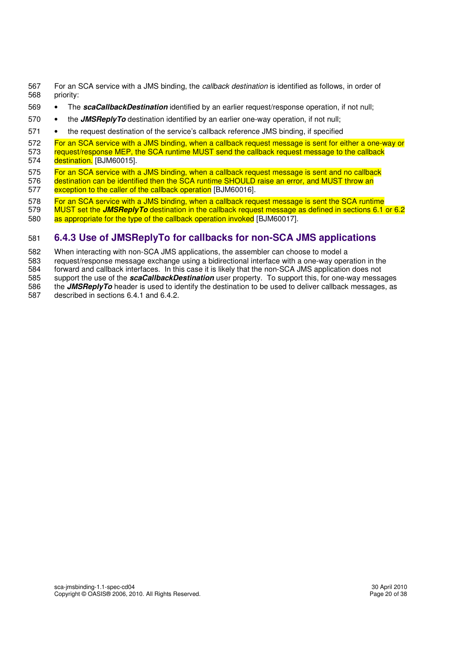- 567 For an SCA service with a JMS binding, the *callback destination* is identified as follows, in order of 568 priority:
- 569 The **scaCallbackDestination** identified by an earlier request/response operation, if not null;
- 570 the **JMSReplyTo** destination identified by an earlier one-way operation, if not null;
- 571 the request destination of the service's callback reference JMS binding, if specified
- 572 For an SCA service with a JMS binding, when a callback request message is sent for either a one-way or<br>573 Fequest/response MEP, the SCA runtime MUST send the callback request message to the callback request/response MEP, the SCA runtime MUST send the callback request message to the callback 574 destination. [BJM60015].
- 575 For an SCA service with a JMS binding, when a callback request message is sent and no callback 576 destination can be identified then the SCA runtime SHOULD raise an error, and MUST throw an 577 exception to the caller of the callback operation [BJM60016]. exception to the caller of the callback operation [BJM60016].
- 578 For an SCA service with a JMS binding, when a callback request message is sent the SCA runtime
- 579 MUST set the **JMSReplyTo** destination in the callback request message as defined in sections 6.1 or 6.2 580 as appropriate for the type of the callback operation invoked [BJM60017].

### 581 **6.4.3 Use of JMSReplyTo for callbacks for non-SCA JMS applications**

582 When interacting with non-SCA JMS applications, the assembler can choose to model a

583 request/response message exchange using a bidirectional interface with a one-way operation in the

584 forward and callback interfaces. In this case it is likely that the non-SCA JMS application does not

585 support the use of the **scaCallbackDestination** user property. To support this, for one-way messages 586 the **JMSReplyTo** header is used to identify the destination to be used to deliver callback messages, as

587 described in sections 6.4.1 and 6.4.2.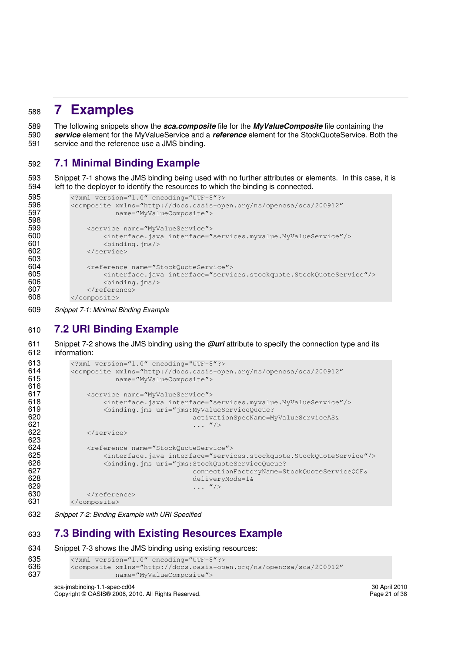## <sup>588</sup>**7 Examples**

589 The following snippets show the **sca.composite** file for the **MyValueComposite** file containing the 590 **service** element for the MyValueService and a **reference** element for the StockQuoteService. Both the 591 service and the reference use a JMS binding.

### 592 **7.1 Minimal Binding Example**

593 Snippet 7-1 shows the JMS binding being used with no further attributes or elements. In this case, it is 594 left to the deployer to identify the resources to which the binding is connected.

```
595 <?xml version="1.0" encoding="UTF-8"?><br>596 <composite xmlns="http://docs.oasis-op
596 <composite xmlns="http://docs.oasis-open.org/ns/opencsa/sca/200912" 
                                   name="MyValueComposite">
598 
599 <service name="MyValueService"><br>600 <service name="MyValueService">
600 \langleinterface.java interface="services.myvalue.MyValueService"/><br>601 \langlebinding.jms/>
601 <br/>
<br/>
<br/>
<br/>
<br/>
</service>
</service>
</service>
</service>
</service>
</service>
</service>
</service>
</service>
</service>
</service>
</service>
</service>
</service>
</service>
</service>
</service>
<
                        </service>
603 
604 <reference name="StockQuoteService"><br>605 <interface.iava_interface="servi
                              605 <interface.java interface="services.stockquote.StockQuoteService"/> 
606 \langlebinding.jms/><br>607 \langle/reference>
                        607 </reference> 
608 </composite>
```
609 Snippet 7-1: Minimal Binding Example

### 610 **7.2 URI Binding Example**

611 Snippet 7-2 shows the JMS binding using the **@uri** attribute to specify the connection type and its 612 information:

```
613 <?xml version="1.0" encoding="UTF-8"?> 
614 <composite xmlns="http://docs.oasis-open.org/ns/opencsa/sca/200912" 
                          name="MyValueComposite">
616<br>617
617 <service name="MyValueService"><br>618 <service name="MyValueService">
618 <interface.java interface="services.myvalue.MyValueService"/><br>619 <br/>>
<br/>
<br/>
<br/>
<br/>
offly the state of the state of the state of the state of the state<br/>
offly the state of the state of the state of the
619 > > <binding.jms uri="jms:MyValueServiceQueue?<br>620 - activationSpecName=M
620 activationSpecName=MyValueServiceAS& 
621 ... "/> 622622 </service> 
623<br>624
624 <reference name="StockQuoteService"><br>625 <interface.java interface="servi
625 \langleinterface.java interface="services.stockquote.StockQuoteService"/><br>626 \langlebinding.jms.uri="ims:StockQuoteServiceQueue?
626 <binding.jms uri="jms:StockQuoteServiceQueue?<br>627 connectionFactoryName=S
627 connectionFactoryName=StockQuoteServiceQCF& 
628 deliveryMode=1&<br>629 deliveryMode=1&<br>629 deliveryMode=1&
629 \left\langle \text{reference} \right\rangle ... "/>
630 \langle/reference><br>631 \langle/composite>
```

```
631 </composite>
```
632 Snippet 7-2: Binding Example with URI Specified

### 633 **7.3 Binding with Existing Resources Example**

634 Snippet 7-3 shows the JMS binding using existing resources:

```
635 < ?xml version="1.0" encoding="UTF-8"?><br>636 < composite xmlns="http://docs.oasis-op
636 <composite xmlns="http://docs.oasis-open.org/ns/opencsa/sca/200912"<br>637 mame="MyValueComposite">
                              name="MyValueComposite">
```
sca-jmsbinding-1.1-spec-cd04 30 April 2010 Copyright © OASIS® 2006, 2010. All Rights Reserved.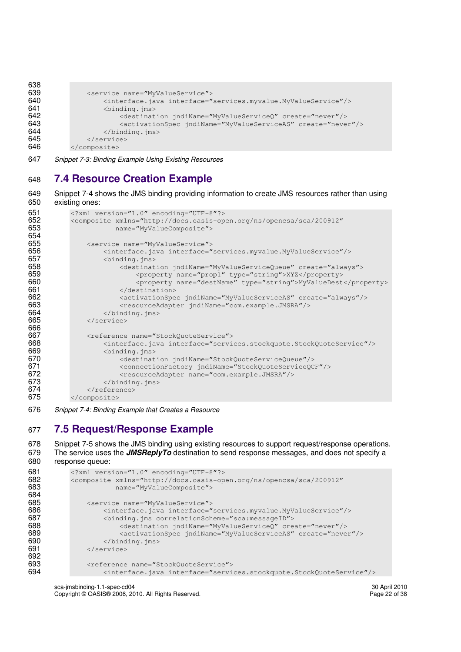```
638<br>639
639 <service name="MyValueService"><br>640 <service name="MyValueService">
640 <interface.java interface="services.myvalue.MyValueService"/><br>641 <br/>>>>>>>>>
641 <br/>
<br/>
<br/>
<br/>
<br/>
<br/>
<br/>
<br/>
<br/>
<destinat<br/>
<destinat
642 <destination jndiName="MyValueServiceQ" create="never"/><br>643 <activationSpec indiName="MyValueServiceAS" create="neve
643 <activationSpec jndiName="MyValueServiceAS" create="never"/><br>644 </binding.jms>
644 </binding.jms><br>645 </service>
645 </service><br>646 </composite>
              </composite>
```
647 Snippet 7-3: Binding Example Using Existing Resources

### 648 **7.4 Resource Creation Example**

649 Snippet 7-4 shows the JMS binding providing information to create JMS resources rather than using 650 existing ones:

```
651 <?xml version="1.0" encoding="UTF-8"?><br>652 <composite xmlns="http://docs.oasis-op
652 <composite xmlns="http://docs.oasis-open.org/ns/opencsa/sca/200912" 
                           name="MyValueComposite">
654<br>655
655 <service name="MyValueService"><br>656 <service name="MyValueService">
656 <interface.java interface="services.myvalue.MyValueService"/> 
657 <br/>>
<br/>
<br/>
<br/>
<br/><br/>
<br/><testinat<br/>
\,<testinat
658 <destination jndiName="MyValueServiceQueue" create="always"><br>659 <property name="propl" type="string">XYZ</property>
                                 659 <property name="prop1" type="string">XYZ</property> 
660 <property name="destName" type="string">MyValueDest</property><br>661 </destination>
661 </destination><br>662 <activationSpected
662 <activationSpec jndiName="MyValueServiceAS" create="always"/><br>663 <resourceAdapter jndiName="com.example.JMSRA"/>
663 <resourceAdapter jndiName="com.example.JMSRA"/><br>664 </binding.jms>
664 </binding.jms><br>665 </service>
                  665 </service> 
666<br>667
667 <reference name="StockQuoteService"><br>668 <interface.java interface="servi
668 <interface.java interface="services.stockquote.StockQuoteService"/><br>669 <br/>>>>>>>>
669 <binding.jms><br>670 <estinat
670 <destination jndiName="StockQuoteServiceQueue"/><br>671 <connectionFactory jndiName="StockQuoteServiceQC
671 <connectionFactory jndiName="StockQuoteServiceQCF"/><br>672 <resourceAdapter name="com.example.JMSRA"/>
672 <resourceAdapter name="com.example.JMSRA"/><br>673 </binding.jms>
673 </binding.jms><br>674 </reference>
674 \langle/reference><br>675 \langle/composite>
             675 </composite>
```
676 Snippet 7-4: Binding Example that Creates a Resource

### 677 **7.5 Request/Response Example**

```
678 Snippet 7-5 shows the JMS binding using existing resources to support request/response operations.<br>679 The service uses the JMSReplvTo destination to send response messages, and does not specify a
          The service uses the JMSReplyTo destination to send response messages, and does not specify a
680 response queue:
```

```
681 <?xml version="1.0" encoding="UTF-8"?><br>682 <composite xmlns="http://docs.oasis-op
682 <composite xmlns="http://docs.oasis-open.org/ns/opencsa/sca/200912" 
                        name="MyValueComposite">
684 
                685 <service name="MyValueService"> 
686 <interface.java interface="services.myvalue.MyValueService"/><br>687 > <binding.jms correlationScheme="sca:messageID">
687 <binding.jms correlationScheme="sca:messageID"> 
688 <destination jndiName="MyValueServiceQ" create="never"/> 
689 <activationSpec jndiName="MyValueServiceAS" create="never"/><br>690 </binding.ims>
690 </binding.jms><br>691 </service>
                691 </service> 
692 
693 <reference name="StockQuoteService"><br>694 <interface.iava interface="servi
                     694 <interface.java interface="services.stockquote.StockQuoteService"/>
```
sca-jmsbinding-1.1-spec-cd04<br>
Copyright © OASIS® 2006, 2010. All Rights Reserved.<br>
Page 22 of 38 Copyright © OASIS® 2006, 2010. All Rights Reserved.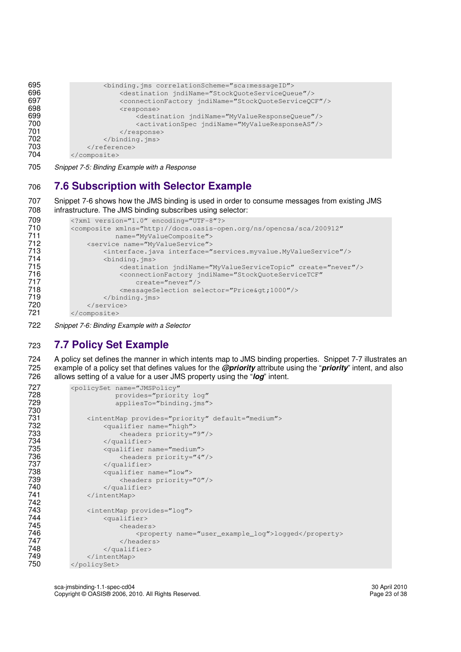| 695 | <binding.jms correlationscheme="sca:messageID"></binding.jms>           |
|-----|-------------------------------------------------------------------------|
| 696 | <destination jndiname="StockQuoteServiceQueue"></destination>           |
| 697 | <connectionfactory jndiname="StockQuoteServiceQCF"></connectionfactory> |
| 698 | <response></response>                                                   |
| 699 | <destination jndiname="MyValueResponseQueue"></destination>             |
| 700 | <activationspec jndiname="MyValueResponseAS"></activationspec>          |
| 701 | $\langle$ /response>                                                    |
| 702 | $\langle$ binding.jms>                                                  |
| 703 | $\langle$ /reference>                                                   |
| 704 |                                                                         |

705 Snippet 7-5: Binding Example with a Response

### 706 **7.6 Subscription with Selector Example**

707 Snippet 7-6 shows how the JMS binding is used in order to consume messages from existing JMS 708 infrastructure. The JMS binding subscribes using selector:

```
709 <?xml version="1.0" encoding="UTF-8"?><br>710 <composite xmlns="http://docs.oasis-op
            710 <composite xmlns="http://docs.oasis-open.org/ns/opencsa/sca/200912" 
711 name="MyValueComposite"> 
712 <service name="MyValueService"><br>713 <interface.java interface="
713 <interface.java interface="services.myvalue.MyValueService"/><br>714 <br/>>>>>>>
714 <binding.jms><br>715 <a>>>>>>><aestinat
715 <destination jndiName="MyValueServiceTopic" create="never"/><br>716 <connectionFactory jndiName="StockQuoteServiceTCF"
                          716 <connectionFactory jndiName="StockQuoteServiceTCF" 
717 create="never"/> 
718 <messageSelection selector="Price>1000"/><br>719 </binding.ims>
719 </binding.jms><br>720 </service>
720 </service><br>721 </composite>
            721 </composite>
```
722 Snippet 7-6: Binding Example with a Selector

### 723 **7.7 Policy Set Example**

724 A policy set defines the manner in which intents map to JMS binding properties. Snippet 7-7 illustrates an<br>725 example of a policy set that defines values for the **@priority** attribute using the "**priority**" intent, an 725 example of a policy set that defines values for the **@priority** attribute using the "**priority**" intent, and also allows setting of a value for a user JMS property using the "log" intent.

```
727 <policySet name="JMSPolicy" 
728 provides="priority log" 
                    729 appliesTo="binding.jms"> 
730 
731 <intentMap provides="priority" default="medium"><br>732 < qualifier name="high">
732 <qualifier name="high"><br>733 <a>>>>>>>>>>>>><headers priority="
733 <headers priority="9"/> 
734 </qualifier> 
735 <qualifier name="medium"> 
                    <headers priority="4"/>
737 </qualifier> 
738 <qualifier name="low"><br>739 <headers priority=
739 <headers priority="0"/> 
740 </qualifier><br>741 </intentMap>
             </intentMap>
742 
743 <intentMap provides="log"><br>744 <qualifier>
744 <qualifier> 
745 <headers> 
746 <property name="user_example_log">logged</property> 
747 </headers> 
748 </qualifier><br>749 </intentMap>
749 </intentMap><br>750 </policySet>
         </policySet>
```
sca-jmsbinding-1.1-spec-cd04 30 April 2010 Copyright © OASIS® 2006, 2010. All Rights Reserved.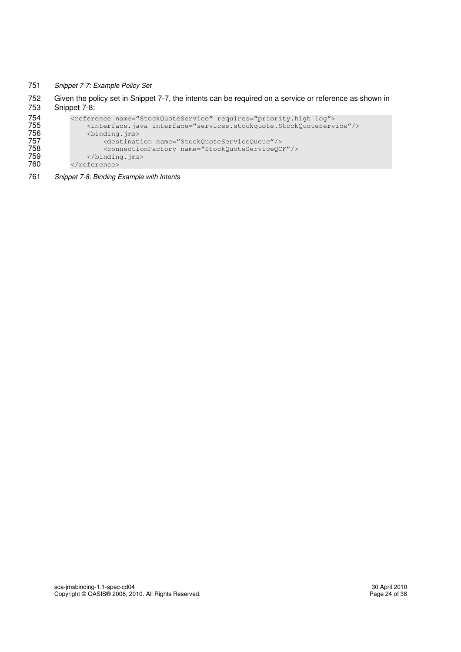#### Snippet 7-7: Example Policy Set

752 Given the policy set in Snippet 7-7, the intents can be required on a service or reference as shown in 753 Snippet 7-8: Snippet 7-8:

| 754 | <reference name="StockQuoteService" requires="priority.high log"></reference>                                                         |
|-----|---------------------------------------------------------------------------------------------------------------------------------------|
| 755 | <interface.java_interface="services.stockquote.stockquoteservice"></interface.java_interface="services.stockquote.stockquoteservice"> |
| 756 | <binding.ims></binding.ims>                                                                                                           |
| 757 | <destination name="StockOuoteServiceOueue"></destination>                                                                             |
| 758 | <connectionfactory name="StockQuoteServiceQCF"></connectionfactory>                                                                   |
| 759 | $\langle$ binding.jms>                                                                                                                |
| 760 | $\langle$ /reference>                                                                                                                 |

Snippet 7-8: Binding Example with Intents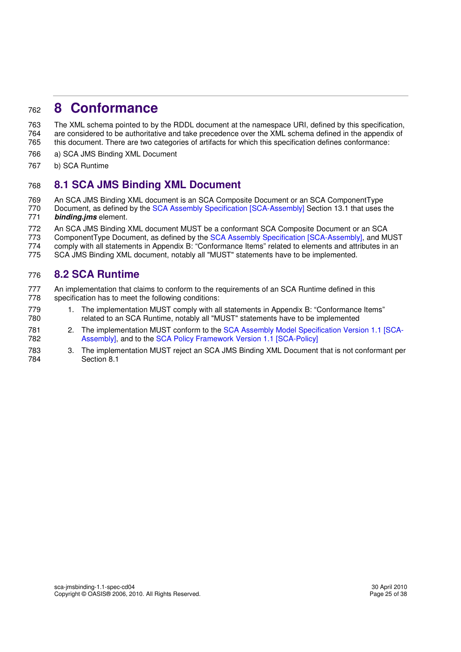# <sup>762</sup>**8 Conformance**

763 The XML schema pointed to by the RDDL document at the namespace URI, defined by this specification, 764 are considered to be authoritative and take precedence over the XML schema defined in the appendix of 765 this document. There are two categories of artifacts for which this specification defines conformance:

- 766 a) SCA JMS Binding XML Document
- 767 b) SCA Runtime

### 768 **8.1 SCA JMS Binding XML Document**

769 An SCA JMS Binding XML document is an SCA Composite Document or an SCA ComponentType 770 Document, as defined by the SCA Assembly Specification [SCA-Assembly] Section 13.1 that uses the

- 771 **binding.jms** element.
- 772 An SCA JMS Binding XML document MUST be a conformant SCA Composite Document or an SCA
- 773 ComponentType Document, as defined by the SCA Assembly Specification [SCA-Assembly], and MUST
- 774 comply with all statements in Appendix B: "Conformance Items" related to elements and attributes in an
- 775 SCA JMS Binding XML document, notably all "MUST" statements have to be implemented.

### 776 **8.2 SCA Runtime**

777 An implementation that claims to conform to the requirements of an SCA Runtime defined in this 778 specification has to meet the following conditions:

- 779 1. The implementation MUST comply with all statements in Appendix B: "Conformance Items" 780 related to an SCA Runtime, notably all "MUST" statements have to be implemented
- 781 2. The implementation MUST conform to the SCA Assembly Model Specification Version 1.1 [SCA-782 Assembly], and to the SCA Policy Framework Version 1.1 [SCA-Policy]
- 783 3. The implementation MUST reject an SCA JMS Binding XML Document that is not conformant per 784 Section 8.1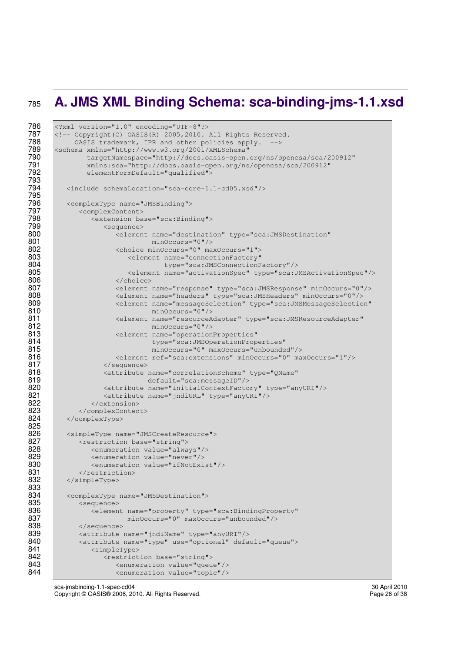# <sup>785</sup>**A. JMS XML Binding Schema: sca-binding-jms-1.1.xsd**

```
786 <?xml version="1.0" encoding="UTF-8"?> 
787 <!-- Copyright(C) OASIS(R) 2005, 2010. All Rights Reserved.<br>788 60815 trademark. IPR and other policies apply. -->
788 OASIS trademark, IPR and other policies apply. --> 
789 <schema xmlns="http://www.w3.org/2001/XMLSchema" 
790 targetNamespace="http://docs.oasis-open.org/ns/opencsa/sca/200912"<br>791 millistra://docs.oasis-open.org/ns/opencsa/sca/200912"
791 xmlns:sca="http://docs.oasis-open.org/ns/opencsa/sca/200912" 
                 elementFormDefault="qualified">
793 
           794 <include schemaLocation="sca-core-1.1-cd05.xsd"/> 
795 
796 <complexType name="JMSBinding"> 
               <complexContent>
798 <extension base="sca:Binding"><br>799 <extension base="sca:Binding">
799 <sequence> 
800 <element name="destination" type="sca:JMSDestination"<br>801
801 minOccurs="0"/><br>802 <choice minOccurs="0" ma
802 <choice minOccurs="0" maxOccurs="1"> 
803 <element name="connectionFactory"<br>B04 type="sca:JMSConnectionF
804 type="sca:JMSConnectionFactory"/><br>805 <element name="activationSpec" type="sca:J
805 <element name="activationSpec" type="sca:JMSActivationSpec"/><br>806 </choice>
806 </choice><br>807 </choice>
807 <element name="response" type="sca:JMSResponse" minOccurs="0"/> 
808 <element name="headers" type="sca:JMSHeaders" minOccurs="0"/><br>809 <element name="messageSelection" type="sca:JMSMessageSelectio
809 <element name="messageSelection" type="sca:JMSMessageSelection"<br>810 minOccurs="0"/>
                                    minOccurs = "0"/>
811 <element name="resourceAdapter" type="sca:JMSResourceAdapter"<br>812 minOccurs="0"/>
812 minOccurs="0"/><br>813 <element name="operation
813 <element name="operationProperties"<br>B14 type="sca:JMSOperationProp
                                     type="sca:JMSOperationProperties"
815 minOccurs="0" maxOccurs="unbounded"/><br>816 minOccurs="0" maxOccurs="unbounded"/>
816 <element ref="sca:extensions" minOccurs="0" maxOccurs="1"/><br>817 </sequence>
817 </sequence> 
818 <attribute name="correlationScheme" type="QName"<br>819 default="sca:messageID"/>
819 default="sca:messageID"/><br>820 sattribute name="initialContextFacto
820 <attribute name="initialContextFactory" type="anyURI"/><br>821 <attribute name="indiURL" type="anyURI"/>
821 <attribute name="jndiURL" type="anyURI"/><br>822 </extension>
822 </extension><br>823 </complexConten
823 </complexContent><br>824 </complexType>
           824 </complexType> 
825<br>826
826 <simpleType name="JMSCreateResource"><br>827 <restriction base="string">
827 <restriction base="string"> 
828 <enumeration value="always"/><br>829 <enumeration value="never"/>
829 <enumeration value="never"/><br>830 <enumeration value="ifNotExi
830 <enumeration value="ifNotExist"/><br>831 </restriction>
831 </restriction><br>832 </simpleType>
           832 </simpleType> 
833<br>834
834 <complexType name="JMSDestination"><br>835 <sequence>
835 <sequence><br>836 <sequence>
836 <element name="property" type="sca:BindingProperty"<br>837 minOccurs="0" maxOccurs="unbounded"/>
837 minOccurs="0" maxOccurs="unbounded"/> 
838 </sequence><br>839 <attribute
839 <attribute name="jndiName" type="anyURI"/><br>840 <attribute name="type" use="optional" defa
840 <attribute name="type" use="optional" default="queue"><br>841 <simpleType>
841 <simpleType><br>842 <restrict
842 <restriction base="string"><br>843 <<restriction value="queu
843 > <enumeration value="queue"/><br>844 > <enumeration value="topic"/>
                          844 <enumeration value="topic"/>
```
sca-jmsbinding-1.1-spec-cd04<br>
Copyright © OASIS® 2006, 2010. All Rights Reserved.<br>
Page 26 of 38 Copyright © OASIS® 2006, 2010. All Rights Reserved.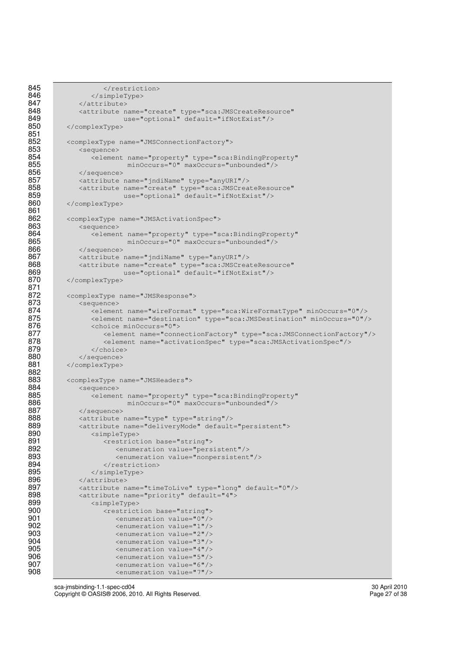```
845 </restriction><br>846 </restriction>
846 </simpleType><br>847 </attribute>
847 </attribute> 
848 <attribute name="create" type="sca:JMSCreateResource"<br>849 use="optional" default="ifNotExist"/>
849 use="optional" default="ifNotExist"/><br>850 </complexType>
            850 </complexType> 
851<br>852
852 <complexType name="JMSConnectionFactory"><br>853 <sequence>
853 <sequence><br>854 <sequence>
854 <element name="property" type="sca:BindingProperty"<br>855 minOccurs="0" maxOccurs="unbounded"/>
855 minOccurs="0" maxOccurs="unbounded"/> 
856 </sequence><br>857 <attribute
857 <attribute name="jndiName" type="anyURI"/><br>858 <attribute name="create" type="sca:JMSCrea
858 <attribute name="create" type="sca:JMSCreateResource"<br>859 use="optional" default="ifNotExist"/>859 use="optional" default="ifNotExist"/><br>860 </complexType>
            860 </complexType> 
861<br>862
862 <complexType name="JMSActivationSpec"><br>863 <complexType name="JMSActivationSpec">
863 <sequence> 
864 <element name="property" type="sca:BindingProperty"<br>865 minOccurs="0" maxOccurs="unbounded"/>
865 minOccurs="0" maxOccurs="unbounded"/> 
866 </sequence><br>867 <attribute
               867 <attribute name="jndiName" type="anyURI"/> 
868 <attribute name="create" type="sca:JMSCreateResource"<br>869 use="optional" default="ifNotExist"/>869 use="optional" default="ifNotExist"/><br>870 </complexType>
            870 </complexType> 
871 
872 <complexType name="JMSResponse"><br>873 <sequence>
873 <sequence> 
874 <element name="wireFormat" type="sca:WireFormatType" minOccurs="0"/> 
875 <element name="destination" type="sca:JMSDestination" minOccurs="0"/> 
876 <choice minOccurs="0"><br>877 <element name="conn
877 <element name="connectionFactory" type="sca:JMSConnectionFactory"/> 
878 <element name="activationSpec" type="sca:JMSActivationSpec"/><br>879 </choice>
879 </choice><br>880 </sequence>
               </sequence>
881 </complexType>
882<br>883
883 <complexType name="JMSHeaders"><br>884 <sequence>
884 <sequence><br>885 <sequence>
885 <element name="property" type="sca:BindingProperty"<br>886 minOccurs="0" maxOccurs="unbounded"/>
886 minOccurs="0" maxOccurs="unbounded"/> 
887 </sequence><br>888 <attribute
888 <attribute name="type" type="string"/><br>889 <attribute name="deliveryMode" default
889 <attribute name="deliveryMode" default="persistent"><br>890 <simpleType>
890 <simpleType><br>891 <simpleType>
891 <restriction base="string"> 
892 > <enumeration value="persistent"/><br>893 > <enumeration value="nonpersistent"
                           893 <enumeration value="nonpersistent"/>
894 </restriction><br>895 </restriction>
895 </simpleType><br>896 </attribute>
896 </attribute><br>897 <attribute n
897 <attribute name="timeToLive" type="long" default="0"/><br>898 <attribute name="priority" default="4">
898 <attribute name="priority" default="4"><br>899 <simpleType>
899 <simpleType><br>900 <simpleType>
900 > <restriction base="string"><br>901 <<rr/>enumeration value="0"/>
901 <enumeration value="0"/> 
902 \leq \leq \leq \leq \leq \leq \leq \leq \leq \leq \leq \leq \leq \leq \leq \leq \leq \leq \leq \leq \leq \leq \leq \leq \leq \leq \leq \leq \leq \leq \leq \leq \leq \leq \leq \leq 903 <enumeration value="2"/> 
904 > <enumeration value="3"/><br>905 > <enumeration value="4"/>
905 > <enumeration value="4"/>
<enumeration value="5"/>
<enumeration value="5"/>
906 <enumeration value="5"/> 
907 > <enumeration value="6"/>
enumeration value="7"/>
908
                           908 <enumeration value="7"/>
```
sca-jmsbinding-1.1-spec-cd04<br>
Copyright © OASIS® 2006, 2010. All Rights Reserved.<br>
Page 27 of 38 Copyright © OASIS® 2006, 2010. All Rights Reserved.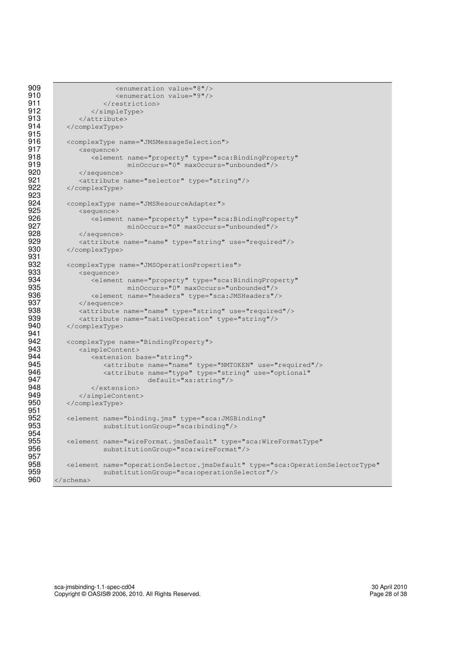```
909 <enumeration value="8"/><br>910 <enumeration value="9"/>
910 <enumeration value="9"/><br>911 </restriction>
911 </restriction><br>912 </simpleType>
912 </simpleType><br>913 </attribute>
913 \langle/attribute><br>914 \langle/complexType>
            914 </complexType> 
915<br>916
916 <complexType name="JMSMessageSelection"><br>917 <sequence>
917 <sequence><br>918 <element
918 <element name="property" type="sca:BindingProperty"<br>919 minOccurs="0" maxOccurs="unbounded"/>
919 minOccurs="0" maxOccurs="unbounded"/><br>920 </sequence>
920 </sequence><br>921 <attribute
921 <attribute name="selector" type="string"/> 
            922 </complexType> 
923<br>924
924 <complexType name="JMSResourceAdapter"><br>925 <complexType name="JMSResourceAdapter">
925 <sequence><br>926 <sequence>
926 <element name="property" type="sca:BindingProperty"<br>927 minOccurs="0" maxOccurs="unbounded"/>
927 minOccurs="0" maxOccurs="unbounded"/><br>928 </sequence>
928 </sequence><br>929 <attribute
929 <attribute name="name" type="string" use="required"/><br>930 </complexType>
            930 </complexType> 
931 
932 <complexType name="JMSOperationProperties"><br>933 <sequence>
933 <sequence><br>934 <sequence>
934 <element name="property" type="sca:BindingProperty"<br>935 minOccurs="0" maxOccurs="unbounded"/>
935 minOccurs="0" maxOccurs="unbounded"/> 
936 <element name="headers" type="sca:JMSHeaders"/><br>937 </sequence>
937 </sequence><br>938 <attribute
938 <attribute name="name" type="string" use="required"/><br>939 <attribute name="nativeOperation" type="string"/>
939 <attribute name="nativeOperation" type="string"/><br>940 </complexType>
            940 </complexType> 
941<br>942
942 <complexType name="BindingProperty"><br>943 <compleContent>
943 <simpleContent><br>944 <simpleContent>
944 <extension base="string"><br>945 <attribute name="name"
945 > <attribute name="name" type="NMTOKEN" use="required"/><br>946 > <attribute name="type" type="string" use="optional"
946 <attribute name="type" type="string" use="optional"<br>947 default="xs:string"/>
947 default="xs:string"/><br>948 </extension>
948 </extension><br>949 </simpleContent>
949 </simpleContent><br>950 </complexType>
            950 </complexType> 
951<br>952
952 <element name="binding.jms" type="sca:JMSBinding"<br>953 substitutionGroup="sca:binding"/>
                        substitutionGroup="sca:binding"/>
954<br>955
955 <element name="wireFormat.jmsDefault" type="sca:WireFormatType"<br>956 substitutionGroup="sca:wireFormat"/>
                        substitutionGroup="sca:wireFormat"/>
957<br>958
958 <element name="operationSelector.jmsDefault" type="sca:OperationSelectorType"<br>959 substitutionGroup="sca:operationSelector"/>
959 substitutionGroup="sca:operationSelector"/><br>960 </schema>
         </schema>
```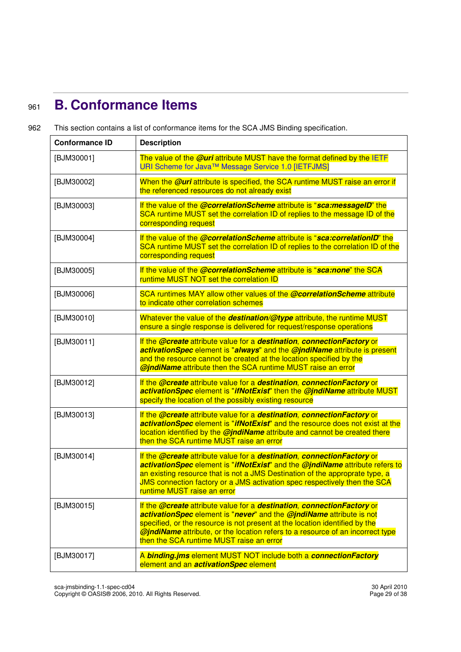# <sup>961</sup>**B. Conformance Items**

| This section contains a list of conformance items for the SCA JMS Binding specification.<br>962 |  |
|-------------------------------------------------------------------------------------------------|--|
|-------------------------------------------------------------------------------------------------|--|

| <b>Conformance ID</b> | <b>Description</b>                                                                                                                                                                                                                                                                                                                                                 |
|-----------------------|--------------------------------------------------------------------------------------------------------------------------------------------------------------------------------------------------------------------------------------------------------------------------------------------------------------------------------------------------------------------|
| [BJM30001]            | The value of the @uri attribute MUST have the format defined by the IETF<br>URI Scheme for Java™ Message Service 1.0 [IETFJMS]                                                                                                                                                                                                                                     |
| [BJM30002]            | When the @uri attribute is specified, the SCA runtime MUST raise an error if<br>the referenced resources do not already exist                                                                                                                                                                                                                                      |
| [BJM30003]            | If the value of the <i>@correlationScheme</i> attribute is "sca:messageID" the<br>SCA runtime MUST set the correlation ID of replies to the message ID of the<br>corresponding request                                                                                                                                                                             |
| [BJM30004]            | If the value of the <i>@correlationScheme</i> attribute is "sca:correlationID" the<br>SCA runtime MUST set the correlation ID of replies to the correlation ID of the<br>corresponding request                                                                                                                                                                     |
| [BJM30005]            | If the value of the <i>@correlationScheme</i> attribute is "sca:none" the SCA<br>runtime MUST NOT set the correlation ID                                                                                                                                                                                                                                           |
| [BJM30006]            | SCA runtimes MAY allow other values of the @correlationScheme attribute<br>to indicate other correlation schemes                                                                                                                                                                                                                                                   |
| [BJM30010]            | Whatever the value of the destination/@type attribute, the runtime MUST<br>ensure a single response is delivered for request/response operations                                                                                                                                                                                                                   |
| [BJM30011]            | If the @create attribute value for a destination, connectionFactory or<br>activationSpec element is "always" and the @jndiName attribute is present<br>and the resource cannot be created at the location specified by the<br><b>@jndiName</b> attribute then the SCA runtime MUST raise an error                                                                  |
| [BJM30012]            | If the @create attribute value for a destination, connectionFactory or<br>activationSpec element is "ifNotExist" then the @jndiName attribute MUST<br>specify the location of the possibly existing resource                                                                                                                                                       |
| [BJM30013]            | If the @create attribute value for a destination, connectionFactory or<br>activationSpec element is "ifNotExist" and the resource does not exist at the<br>location identified by the @jndiName attribute and cannot be created there<br>then the SCA runtime MUST raise an error                                                                                  |
| [BJM30014]            | If the @create attribute value for a destination, connectionFactory or<br>activationSpec element is "ifNotExist" and the @jndiName attribute refers to<br>an existing resource that is not a JMS Destination of the approprate type, a<br>JMS connection factory or a JMS activation spec respectively then the SCA<br>runtime MUST raise an error                 |
| [BJM30015]            | If the @create attribute value for a destination, connectionFactory or<br>activationSpec element is "never" and the @jndiName attribute is not<br>specified, or the resource is not present at the location identified by the<br><b>@jndiName</b> attribute, or the location refers to a resource of an incorrect type<br>then the SCA runtime MUST raise an error |
| [BJM30017]            | A binding.jms element MUST NOT include both a connectionFactory<br>element and an <b>activationSpec</b> element                                                                                                                                                                                                                                                    |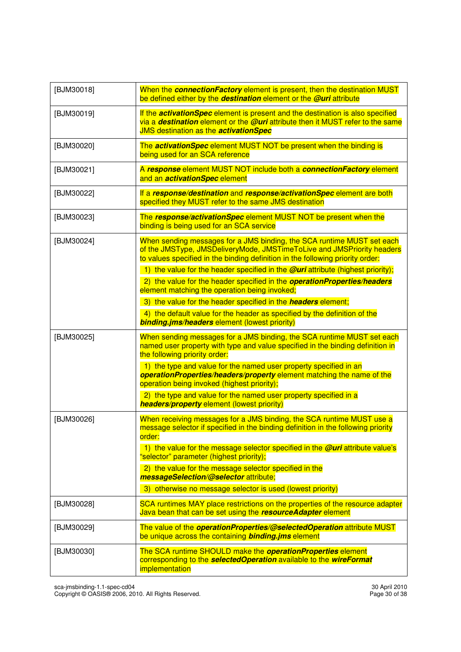| [BJM30018] | When the <b>connectionFactory</b> element is present, then the destination MUST<br>be defined either by the <b>destination</b> element or the <b>@uri</b> attribute                                                                                                                                                                                                                                                                                                                                                                                                                                                                                               |
|------------|-------------------------------------------------------------------------------------------------------------------------------------------------------------------------------------------------------------------------------------------------------------------------------------------------------------------------------------------------------------------------------------------------------------------------------------------------------------------------------------------------------------------------------------------------------------------------------------------------------------------------------------------------------------------|
| [BJM30019] | If the <b>activationSpec</b> element is present and the destination is also specified<br>via a <b>destination</b> element or the <b>@uri</b> attribute then it MUST refer to the same<br><b>JMS</b> destination as the <b>activationSpec</b>                                                                                                                                                                                                                                                                                                                                                                                                                      |
| [BJM30020] | The activationSpec element MUST NOT be present when the binding is<br>being used for an SCA reference                                                                                                                                                                                                                                                                                                                                                                                                                                                                                                                                                             |
| [BJM30021] | A response element MUST NOT include both a connectionFactory element<br>and an <i>activationSpec</i> element                                                                                                                                                                                                                                                                                                                                                                                                                                                                                                                                                      |
| [BJM30022] | If a response/destination and response/activationSpec element are both<br>specified they MUST refer to the same JMS destination                                                                                                                                                                                                                                                                                                                                                                                                                                                                                                                                   |
| [BJM30023] | The response/activationSpec element MUST NOT be present when the<br>binding is being used for an SCA service                                                                                                                                                                                                                                                                                                                                                                                                                                                                                                                                                      |
| [BJM30024] | When sending messages for a JMS binding, the SCA runtime MUST set each<br>of the JMSType, JMSDeliveryMode, JMSTimeToLive and JMSPriority headers<br>to values specified in the binding definition in the following priority order:<br>1) the value for the header specified in the $@uri$ attribute (highest priority);<br>2) the value for the header specified in the operationProperties/headers<br>element matching the operation being invoked;<br>3) the value for the header specified in the <i>headers</i> element;<br>4) the default value for the header as specified by the definition of the<br><b>binding.jms/headers</b> element (lowest priority) |
| [BJM30025] | When sending messages for a JMS binding, the SCA runtime MUST set each<br>named user property with type and value specified in the binding definition in<br>the following priority order:<br>1) the type and value for the named user property specified in an<br>operationProperties/headers/property element matching the name of the<br>operation being invoked (highest priority);<br>2) the type and value for the named user property specified in a<br><b>headers/property element (lowest priority)</b>                                                                                                                                                   |
| [BJM30026] | When receiving messages for a JMS binding, the SCA runtime MUST use a<br>message selector if specified in the binding definition in the following priority<br>order:<br>1) the value for the message selector specified in the $Q$ uri attribute value's<br>"selector" parameter (highest priority);<br>2) the value for the message selector specified in the<br>messageSelection/@selector attribute;<br>3) otherwise no message selector is used (lowest priority)                                                                                                                                                                                             |
| [BJM30028] | SCA runtimes MAY place restrictions on the properties of the resource adapter<br>Java bean that can be set using the resource Adapter element                                                                                                                                                                                                                                                                                                                                                                                                                                                                                                                     |
| [BJM30029] | The value of the operationProperties/@selectedOperation attribute MUST<br>be unique across the containing <b>binding.jms</b> element                                                                                                                                                                                                                                                                                                                                                                                                                                                                                                                              |
| [BJM30030] | The SCA runtime SHOULD make the operationProperties element<br>corresponding to the selectedOperation available to the wireFormat<br>implementation                                                                                                                                                                                                                                                                                                                                                                                                                                                                                                               |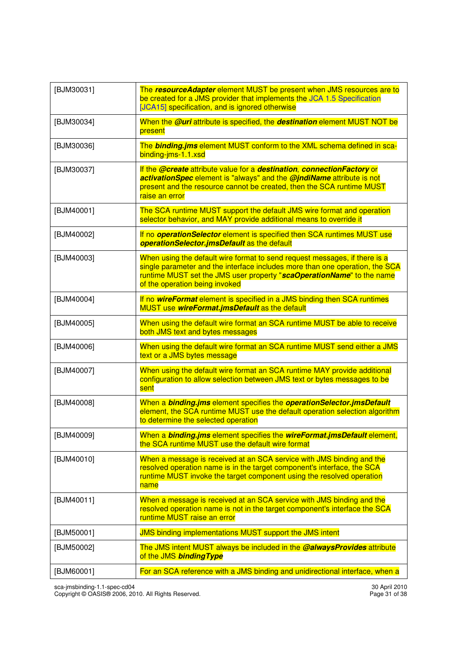| [BJM30031] | The resource Adapter element MUST be present when JMS resources are to<br>be created for a JMS provider that implements the JCA 1.5 Specification<br>[JCA15] specification, and is ignored otherwise                                                                  |
|------------|-----------------------------------------------------------------------------------------------------------------------------------------------------------------------------------------------------------------------------------------------------------------------|
| [BJM30034] | When the <b>@uri</b> attribute is specified, the <b>destination</b> element MUST NOT be<br>present                                                                                                                                                                    |
| [BJM30036] | The binding.jms element MUST conform to the XML schema defined in sca-<br>binding-jms-1.1.xsd                                                                                                                                                                         |
| [BJM30037] | If the @create attribute value for a destination, connectionFactory or<br>activationSpec element is "always" and the @jndiName attribute is not<br>present and the resource cannot be created, then the SCA runtime MUST<br>raise an error                            |
| [BJM40001] | The SCA runtime MUST support the default JMS wire format and operation<br>selector behavior, and MAY provide additional means to override it                                                                                                                          |
| [BJM40002] | If no <b>operationSelector</b> element is specified then SCA runtimes MUST use<br>operationSelector.jmsDefault as the default                                                                                                                                         |
| [BJM40003] | When using the default wire format to send request messages, if there is a<br>single parameter and the interface includes more than one operation, the SCA<br>runtime MUST set the JMS user property "scaOperationName" to the name<br>of the operation being invoked |
| [BJM40004] | If no wireFormat element is specified in a JMS binding then SCA runtimes<br>MUST use wireFormat.jmsDefault as the default                                                                                                                                             |
| [BJM40005] | When using the default wire format an SCA runtime MUST be able to receive<br>both JMS text and bytes messages                                                                                                                                                         |
| [BJM40006] | When using the default wire format an SCA runtime MUST send either a JMS<br>text or a JMS bytes message                                                                                                                                                               |
| [BJM40007] | When using the default wire format an SCA runtime MAY provide additional<br>configuration to allow selection between JMS text or bytes messages to be<br>sent                                                                                                         |
| [BJM40008] | When a binding.jms element specifies the operationSelector.jmsDefault<br>element, the SCA runtime MUST use the default operation selection algorithm<br>to determine the selected operation                                                                           |
| [BJM40009] | When a binding.jms element specifies the wireFormat.jmsDefault element,<br>the SCA runtime MUST use the default wire format                                                                                                                                           |
| [BJM40010] | When a message is received at an SCA service with JMS binding and the<br>resolved operation name is in the target component's interface, the SCA<br>runtime MUST invoke the target component using the resolved operation<br>name                                     |
| [BJM40011] | When a message is received at an SCA service with JMS binding and the<br>resolved operation name is not in the target component's interface the SCA<br>runtime MUST raise an error                                                                                    |
| [BJM50001] | <b>JMS binding implementations MUST support the JMS intent</b>                                                                                                                                                                                                        |
| [BJM50002] | The JMS intent MUST always be included in the @alwaysProvides attribute<br>of the JMS binding Type                                                                                                                                                                    |
| [BJM60001] | For an SCA reference with a JMS binding and unidirectional interface, when a                                                                                                                                                                                          |

sca-jmsbinding-1.1-spec-cd04<br>Copyright © OASIS® 2006, 2010. All Rights Reserved. Page 31 of 38 Page 31 of 38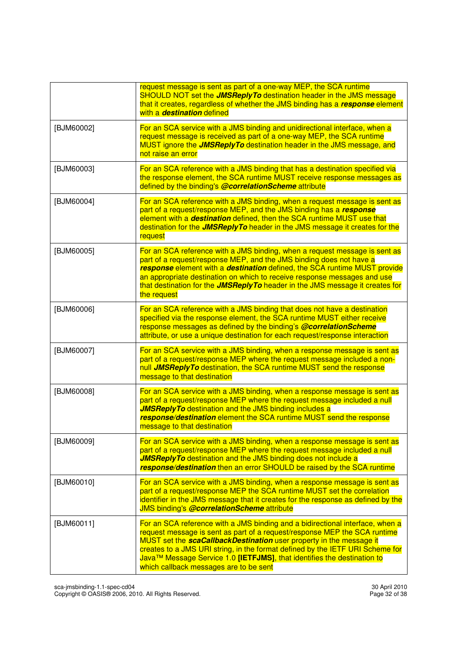|            | request message is sent as part of a one-way MEP, the SCA runtime<br>SHOULD NOT set the <b>JMSReply To</b> destination header in the JMS message<br>that it creates, regardless of whether the JMS binding has a response element<br>with a <b>destination</b> defined                                                                                                                                                                         |
|------------|------------------------------------------------------------------------------------------------------------------------------------------------------------------------------------------------------------------------------------------------------------------------------------------------------------------------------------------------------------------------------------------------------------------------------------------------|
| [BJM60002] | For an SCA service with a JMS binding and unidirectional interface, when a<br>request message is received as part of a one-way MEP, the SCA runtime<br>MUST ignore the <b>JMSReplyTo</b> destination header in the JMS message, and<br>not raise an error                                                                                                                                                                                      |
| [BJM60003] | For an SCA reference with a JMS binding that has a destination specified via<br>the response element, the SCA runtime MUST receive response messages as<br>defined by the binding's @correlationScheme attribute                                                                                                                                                                                                                               |
| [BJM60004] | For an SCA reference with a JMS binding, when a request message is sent as<br>part of a request/response MEP, and the JMS binding has a response<br>element with a <b>destination</b> defined, then the SCA runtime MUST use that<br>destination for the <b>JMSReplyTo</b> header in the JMS message it creates for the<br>request                                                                                                             |
| [BJM60005] | For an SCA reference with a JMS binding, when a request message is sent as<br>part of a request/response MEP, and the JMS binding does not have a<br>response element with a destination defined, the SCA runtime MUST provide<br>an appropriate destination on which to receive response messages and use<br>that destination for the <b>JMSReplyTo</b> header in the JMS message it creates for<br>the request                               |
| [BJM60006] | For an SCA reference with a JMS binding that does not have a destination<br>specified via the response element, the SCA runtime MUST either receive<br>response messages as defined by the binding's @correlationScheme<br>attribute, or use a unique destination for each request/response interaction                                                                                                                                        |
| [BJM60007] | For an SCA service with a JMS binding, when a response message is sent as<br>part of a request/response MEP where the request message included a non-<br>null <b>JMSReplyTo</b> destination, the SCA runtime MUST send the response<br>message to that destination                                                                                                                                                                             |
| [BJM60008] | For an SCA service with a JMS binding, when a response message is sent as<br>part of a request/response MEP where the request message included a null<br><b>JMSReplyTo</b> destination and the JMS binding includes a<br>response/destination element the SCA runtime MUST send the response<br>message to that destination                                                                                                                    |
| [BJM60009] | For an SCA service with a JMS binding, when a response message is sent as<br>part of a request/response MEP where the request message included a null<br><b>JMSReplyTo</b> destination and the JMS binding does not include a<br>response/destination then an error SHOULD be raised by the SCA runtime                                                                                                                                        |
| [BJM60010] | For an SCA service with a JMS binding, when a response message is sent as<br>part of a request/response MEP the SCA runtime MUST set the correlation<br>identifier in the JMS message that it creates for the response as defined by the<br><b>JMS binding's @correlationScheme attribute</b>                                                                                                                                                  |
| [BJM60011] | For an SCA reference with a JMS binding and a bidirectional interface, when a<br>request message is sent as part of a request/response MEP the SCA runtime<br>MUST set the <b>scaCallbackDestination</b> user property in the message it<br>creates to a JMS URI string, in the format defined by the IETF URI Scheme for<br>Java™ Message Service 1.0 [IETFJMS], that identifies the destination to<br>which callback messages are to be sent |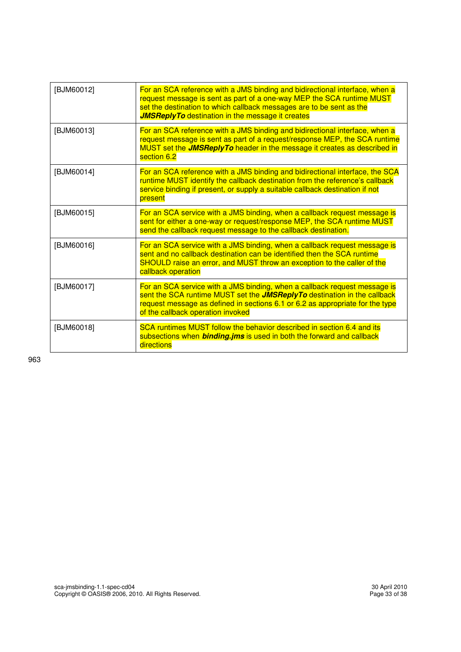| [BJM60012] | For an SCA reference with a JMS binding and bidirectional interface, when a<br>request message is sent as part of a one-way MEP the SCA runtime MUST<br>set the destination to which callback messages are to be sent as the<br><b>JMSReplyTo destination in the message it creates</b> |
|------------|-----------------------------------------------------------------------------------------------------------------------------------------------------------------------------------------------------------------------------------------------------------------------------------------|
| [BJM60013] | For an SCA reference with a JMS binding and bidirectional interface, when a<br>request message is sent as part of a request/response MEP, the SCA runtime<br>MUST set the <b>JMSReplyTo</b> header in the message it creates as described in<br>section 6.2                             |
| [BJM60014] | For an SCA reference with a JMS binding and bidirectional interface, the SCA<br>runtime MUST identify the callback destination from the reference's callback<br>service binding if present, or supply a suitable callback destination if not<br>present                                 |
| [BJM60015] | For an SCA service with a JMS binding, when a callback request message is<br>sent for either a one-way or request/response MEP, the SCA runtime MUST<br>send the callback request message to the callback destination.                                                                  |
| [BJM60016] | For an SCA service with a JMS binding, when a callback request message is<br>sent and no callback destination can be identified then the SCA runtime<br>SHOULD raise an error, and MUST throw an exception to the caller of the<br>callback operation                                   |
| [BJM60017] | For an SCA service with a JMS binding, when a callback request message is<br>sent the SCA runtime MUST set the <b>JMSReplyTo</b> destination in the callback<br>request message as defined in sections 6.1 or 6.2 as appropriate for the type<br>of the callback operation invoked      |
| [BJM60018] | SCA runtimes MUST follow the behavior described in section 6.4 and its<br>subsections when <b>binding.jms</b> is used in both the forward and callback<br>directions                                                                                                                    |

963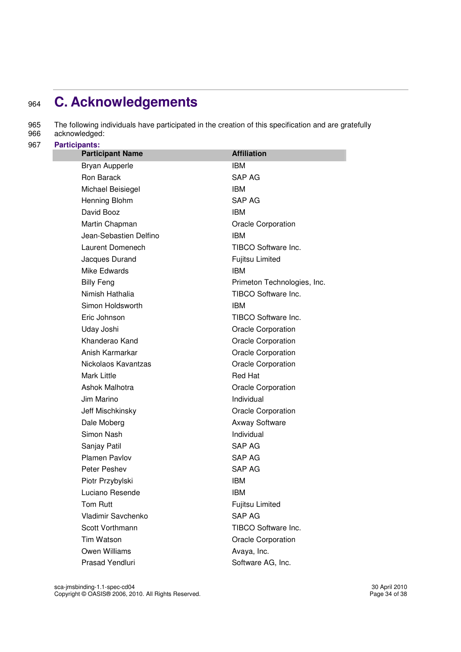# <sup>964</sup>**C. Acknowledgements**

- 965 The following individuals have participated in the creation of this specification and are gratefully<br>966 acknowledged:
- acknowledged:
- 967 **Participants:**

| <b>Participant Name</b> | <b>Affiliation</b>          |
|-------------------------|-----------------------------|
| <b>Bryan Aupperle</b>   | <b>IBM</b>                  |
| Ron Barack              | <b>SAP AG</b>               |
| Michael Beisiegel       | <b>IBM</b>                  |
| Henning Blohm           | <b>SAP AG</b>               |
| David Booz              | <b>IBM</b>                  |
| Martin Chapman          | <b>Oracle Corporation</b>   |
| Jean-Sebastien Delfino  | <b>IBM</b>                  |
| Laurent Domenech        | TIBCO Software Inc.         |
| Jacques Durand          | <b>Fujitsu Limited</b>      |
| Mike Edwards            | <b>IBM</b>                  |
| <b>Billy Feng</b>       | Primeton Technologies, Inc. |
| Nimish Hathalia         | TIBCO Software Inc.         |
| Simon Holdsworth        | <b>IBM</b>                  |
| Eric Johnson            | TIBCO Software Inc.         |
| Uday Joshi              | <b>Oracle Corporation</b>   |
| Khanderao Kand          | <b>Oracle Corporation</b>   |
| Anish Karmarkar         | <b>Oracle Corporation</b>   |
| Nickolaos Kavantzas     | <b>Oracle Corporation</b>   |
| Mark Little             | <b>Red Hat</b>              |
| Ashok Malhotra          | <b>Oracle Corporation</b>   |
| Jim Marino              | Individual                  |
| Jeff Mischkinsky        | <b>Oracle Corporation</b>   |
| Dale Moberg             | <b>Axway Software</b>       |
| Simon Nash              | Individual                  |
| Sanjay Patil            | SAP AG                      |
| <b>Plamen Pavlov</b>    | SAP AG                      |
| Peter Peshev            | SAP AG                      |
| Piotr Przybylski        | <b>IBM</b>                  |
| Luciano Resende         | <b>IBM</b>                  |
| Tom Rutt                | Fujitsu Limited             |
| Vladimir Savchenko      | <b>SAP AG</b>               |
| Scott Vorthmann         | TIBCO Software Inc.         |
| Tim Watson              | <b>Oracle Corporation</b>   |
| Owen Williams           | Avaya, Inc.                 |
| Prasad Yendluri         | Software AG, Inc.           |
|                         |                             |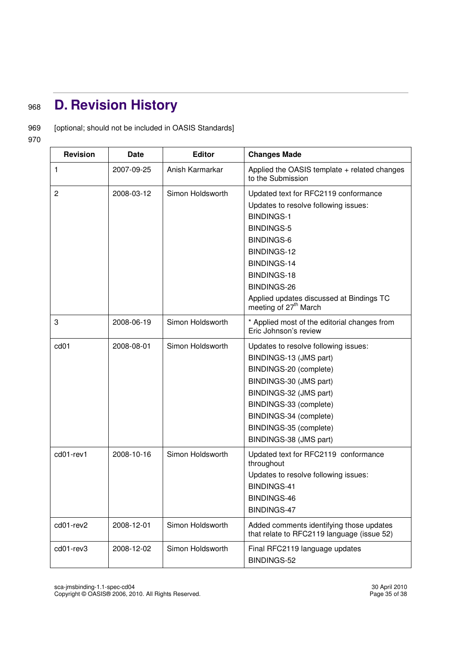# <sup>968</sup>**D. Revision History**

### 969 [optional; should not be included in OASIS Standards]

#### 970

| <b>Revision</b>  | <b>Date</b> | <b>Editor</b>    | <b>Changes Made</b>                                                                                                                                                                                                                                                                      |
|------------------|-------------|------------------|------------------------------------------------------------------------------------------------------------------------------------------------------------------------------------------------------------------------------------------------------------------------------------------|
| 1                | 2007-09-25  | Anish Karmarkar  | Applied the OASIS template + related changes<br>to the Submission                                                                                                                                                                                                                        |
| $\overline{c}$   | 2008-03-12  | Simon Holdsworth | Updated text for RFC2119 conformance<br>Updates to resolve following issues:<br><b>BINDINGS-1</b><br><b>BINDINGS-5</b><br><b>BINDINGS-6</b><br>BINDINGS-12<br>BINDINGS-14<br>BINDINGS-18<br>BINDINGS-26<br>Applied updates discussed at Bindings TC<br>meeting of 27 <sup>th</sup> March |
| 3                | 2008-06-19  | Simon Holdsworth | * Applied most of the editorial changes from<br>Eric Johnson's review                                                                                                                                                                                                                    |
| cd <sub>01</sub> | 2008-08-01  | Simon Holdsworth | Updates to resolve following issues:<br>BINDINGS-13 (JMS part)<br>BINDINGS-20 (complete)<br>BINDINGS-30 (JMS part)<br>BINDINGS-32 (JMS part)<br>BINDINGS-33 (complete)<br>BINDINGS-34 (complete)<br>BINDINGS-35 (complete)<br>BINDINGS-38 (JMS part)                                     |
| cd01-rev1        | 2008-10-16  | Simon Holdsworth | Updated text for RFC2119 conformance<br>throughout<br>Updates to resolve following issues:<br>BINDINGS-41<br>BINDINGS-46<br>BINDINGS-47                                                                                                                                                  |
| cd01-rev2        | 2008-12-01  | Simon Holdsworth | Added comments identifying those updates<br>that relate to RFC2119 language (issue 52)                                                                                                                                                                                                   |
| cd01-rev3        | 2008-12-02  | Simon Holdsworth | Final RFC2119 language updates<br>BINDINGS-52                                                                                                                                                                                                                                            |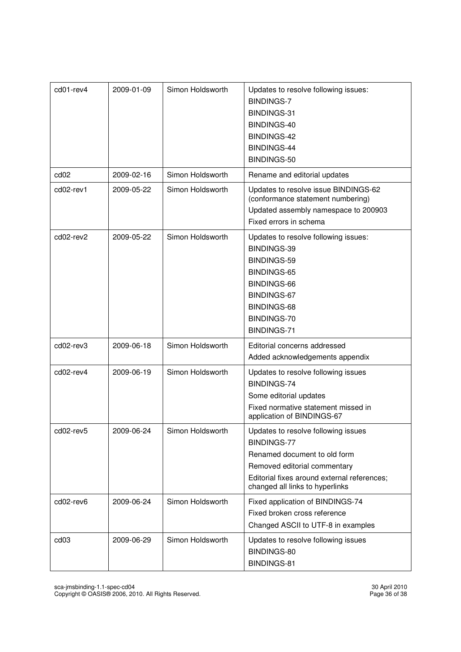| cd01-rev4        | 2009-01-09 | Simon Holdsworth | Updates to resolve following issues:<br><b>BINDINGS-7</b><br>BINDINGS-31<br>BINDINGS-40<br>BINDINGS-42<br>BINDINGS-44<br>BINDINGS-50                                                                        |
|------------------|------------|------------------|-------------------------------------------------------------------------------------------------------------------------------------------------------------------------------------------------------------|
| cd <sub>02</sub> | 2009-02-16 | Simon Holdsworth | Rename and editorial updates                                                                                                                                                                                |
| cd02-rev1        | 2009-05-22 | Simon Holdsworth | Updates to resolve issue BINDINGS-62<br>(conformance statement numbering)<br>Updated assembly namespace to 200903<br>Fixed errors in schema                                                                 |
| cd02-rev2        | 2009-05-22 | Simon Holdsworth | Updates to resolve following issues:<br>BINDINGS-39<br>BINDINGS-59<br>BINDINGS-65<br>BINDINGS-66<br>BINDINGS-67<br>BINDINGS-68<br>BINDINGS-70<br>BINDINGS-71                                                |
| cd02-rev3        | 2009-06-18 | Simon Holdsworth | Editorial concerns addressed<br>Added acknowledgements appendix                                                                                                                                             |
| cd02-rev4        | 2009-06-19 | Simon Holdsworth | Updates to resolve following issues<br>BINDINGS-74<br>Some editorial updates<br>Fixed normative statement missed in<br>application of BINDINGS-67                                                           |
| cd02-rev5        | 2009-06-24 | Simon Holdsworth | Updates to resolve following issues<br><b>BINDINGS-77</b><br>Renamed document to old form<br>Removed editorial commentary<br>Editorial fixes around external references;<br>changed all links to hyperlinks |
| cd02-rev6        | 2009-06-24 | Simon Holdsworth | Fixed application of BINDINGS-74<br>Fixed broken cross reference<br>Changed ASCII to UTF-8 in examples                                                                                                      |
| cd <sub>03</sub> | 2009-06-29 | Simon Holdsworth | Updates to resolve following issues<br>BINDINGS-80<br>BINDINGS-81                                                                                                                                           |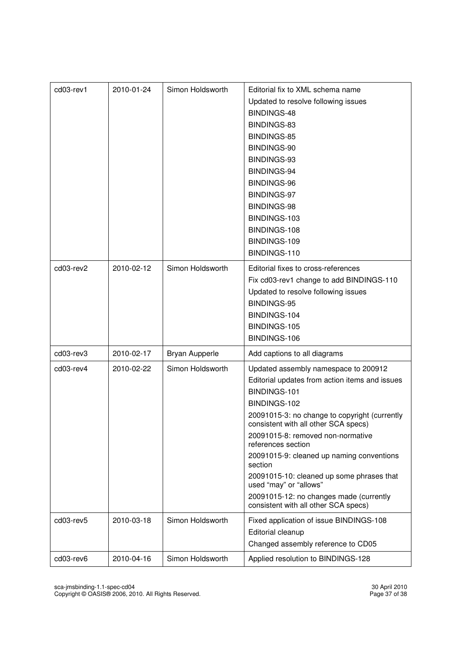| cd03-rev1 | 2010-01-24 | Simon Holdsworth | Editorial fix to XML schema name<br>Updated to resolve following issues<br>BINDINGS-48<br>BINDINGS-83<br>BINDINGS-85<br>BINDINGS-90<br>BINDINGS-93<br>BINDINGS-94<br>BINDINGS-96<br>BINDINGS-97<br>BINDINGS-98                                                                                                                                                                                                                                                                               |
|-----------|------------|------------------|----------------------------------------------------------------------------------------------------------------------------------------------------------------------------------------------------------------------------------------------------------------------------------------------------------------------------------------------------------------------------------------------------------------------------------------------------------------------------------------------|
|           |            |                  | BINDINGS-103<br>BINDINGS-108<br>BINDINGS-109<br>BINDINGS-110                                                                                                                                                                                                                                                                                                                                                                                                                                 |
| cd03-rev2 | 2010-02-12 | Simon Holdsworth | Editorial fixes to cross-references<br>Fix cd03-rev1 change to add BINDINGS-110<br>Updated to resolve following issues<br>BINDINGS-95<br>BINDINGS-104<br>BINDINGS-105<br>BINDINGS-106                                                                                                                                                                                                                                                                                                        |
| cd03-rev3 | 2010-02-17 | Bryan Aupperle   | Add captions to all diagrams                                                                                                                                                                                                                                                                                                                                                                                                                                                                 |
| cd03-rev4 | 2010-02-22 | Simon Holdsworth | Updated assembly namespace to 200912<br>Editorial updates from action items and issues<br>BINDINGS-101<br>BINDINGS-102<br>20091015-3: no change to copyright (currently<br>consistent with all other SCA specs)<br>20091015-8: removed non-normative<br>references section<br>20091015-9: cleaned up naming conventions<br>section<br>20091015-10: cleaned up some phrases that<br>used "may" or "allows"<br>20091015-12: no changes made (currently<br>consistent with all other SCA specs) |
| cd03-rev5 | 2010-03-18 | Simon Holdsworth | Fixed application of issue BINDINGS-108<br>Editorial cleanup<br>Changed assembly reference to CD05                                                                                                                                                                                                                                                                                                                                                                                           |
| cd03-rev6 | 2010-04-16 | Simon Holdsworth | Applied resolution to BINDINGS-128                                                                                                                                                                                                                                                                                                                                                                                                                                                           |